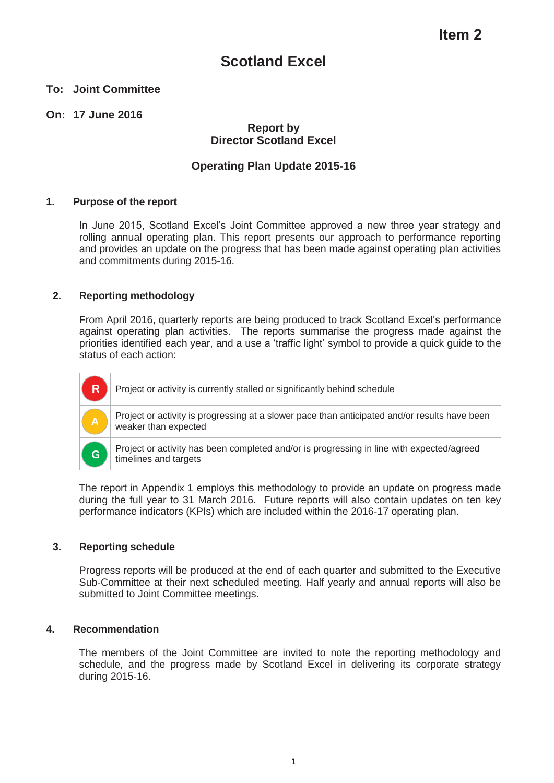### **Scotland Excel**

### **To: Joint Committee**

### **On: 17 June 2016**

### **Report by Director Scotland Excel**

### **Operating Plan Update 2015-16**

### **1. Purpose of the report**

In June 2015, Scotland Excel's Joint Committee approved a new three year strategy and rolling annual operating plan. This report presents our approach to performance reporting and provides an update on the progress that has been made against operating plan activities and commitments during 2015-16.

### **2. Reporting methodology**

From April 2016, quarterly reports are being produced to track Scotland Excel's performance against operating plan activities. The reports summarise the progress made against the priorities identified each year, and a use a 'traffic light' symbol to provide a quick guide to the status of each action:



The report in Appendix 1 employs this methodology to provide an update on progress made during the full year to 31 March 2016. Future reports will also contain updates on ten key performance indicators (KPIs) which are included within the 2016-17 operating plan.

### **3. Reporting schedule**

Progress reports will be produced at the end of each quarter and submitted to the Executive Sub-Committee at their next scheduled meeting. Half yearly and annual reports will also be submitted to Joint Committee meetings.

### **4. Recommendation**

The members of the Joint Committee are invited to note the reporting methodology and schedule, and the progress made by Scotland Excel in delivering its corporate strategy during 2015-16.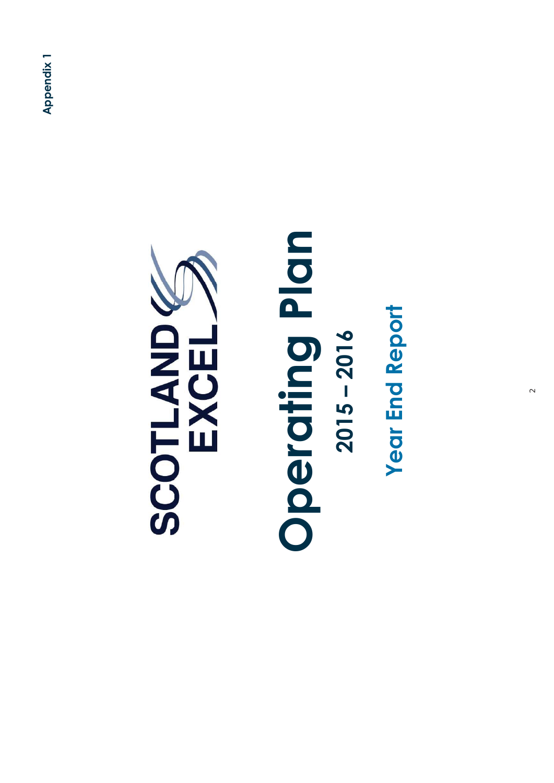

### **Operating Plan**  Operating Plan **2015 – 2016**   $2015 - 2016$

**Year End Report Year End Report**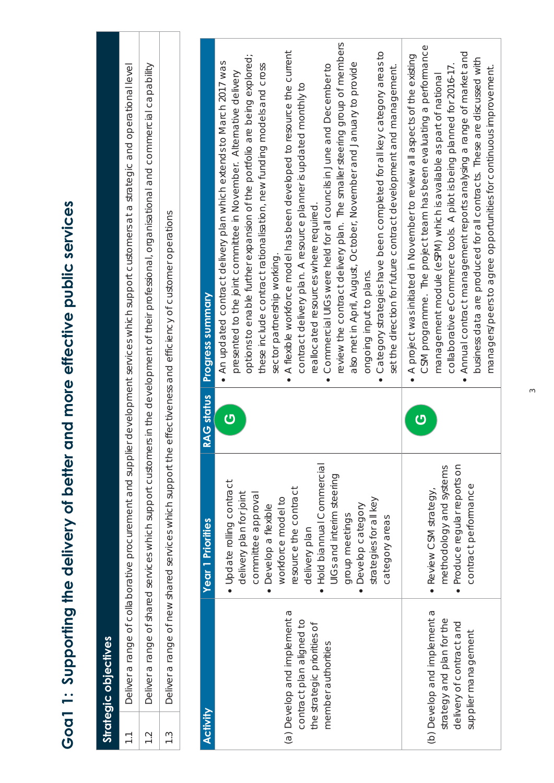| Deliver a range of collaborative procurement and supplier development services which supplic h support customers at a strategic and operational level | Deliver a range of shared services which support customers in the development of their professional, organisational and commercial capability | re effectiveness and efficiency of customer operations  | <b>Progress summary</b> | review the contract delivery plan. The smaller steering group of members<br>A flexible workforce model has been developed to resource the current<br>Category strategies have been completed for all key category areas to<br>options to enable further expansion of the portfolio are being explored;<br>An updated contract delivery plan which extends to March 2017 was<br>also met in April, August, October, November and January to provide<br>Commercial UIGs were held for all councils in June and December to<br>these include contract rationalisation, new funding models and cross<br>set the direction for future contract development and management.<br>presented to the joint committee in November. Alternative delivery<br>contract delivery plan. A resource planner is updated monthly to<br>reallocated resources where required.<br>sector partnership working.<br>ongoing input to plans.<br>$\bullet$<br>$\bullet$ | CSM programme. The project team has been evaluating a performance<br>Annual contract management reports analysing a range of market and<br>$\bullet$ A project was initiated in November to review all aspects of the existing<br>business data are produced for all contracts. These are discussed with<br>collaborative eCommerce tools. A pilot is being planned for 2016-17.<br>managers/peers to agree opportunities for continuous improvement.<br>management module (eSPM) which is available as part of national<br>$\bullet$ |
|-------------------------------------------------------------------------------------------------------------------------------------------------------|-----------------------------------------------------------------------------------------------------------------------------------------------|---------------------------------------------------------|-------------------------|----------------------------------------------------------------------------------------------------------------------------------------------------------------------------------------------------------------------------------------------------------------------------------------------------------------------------------------------------------------------------------------------------------------------------------------------------------------------------------------------------------------------------------------------------------------------------------------------------------------------------------------------------------------------------------------------------------------------------------------------------------------------------------------------------------------------------------------------------------------------------------------------------------------------------------------------|---------------------------------------------------------------------------------------------------------------------------------------------------------------------------------------------------------------------------------------------------------------------------------------------------------------------------------------------------------------------------------------------------------------------------------------------------------------------------------------------------------------------------------------|
|                                                                                                                                                       |                                                                                                                                               |                                                         | <b>RAG status</b>       | <mark>ු</mark>                                                                                                                                                                                                                                                                                                                                                                                                                                                                                                                                                                                                                                                                                                                                                                                                                                                                                                                               | <mark>ු</mark>                                                                                                                                                                                                                                                                                                                                                                                                                                                                                                                        |
|                                                                                                                                                       |                                                                                                                                               | Deliver a range of new shared services which support th | Year 1 Priorities       | Hold biannual Commercial<br>UIGs and interim steering<br>· Update rolling contract<br>resource the contract<br>delivery plan for joint<br>committee approval<br>workforce model to<br>strategies for all key<br>Develop category<br>Develop a flexible<br>group meetings<br>category areas<br>delivery plan<br>$\bullet$                                                                                                                                                                                                                                                                                                                                                                                                                                                                                                                                                                                                                     | Produce regular reports on<br>methodology and systems<br>contract performance<br>$\bullet$ Review CSM strategy,                                                                                                                                                                                                                                                                                                                                                                                                                       |
| $\overline{1}$ .                                                                                                                                      | $\overline{1}$ .                                                                                                                              | $\frac{3}{1}$                                           | <b>Activity</b>         | (a) Develop and implement a<br>contract plan aligned to<br>the strategic priorities of<br>member authorities                                                                                                                                                                                                                                                                                                                                                                                                                                                                                                                                                                                                                                                                                                                                                                                                                                 | (b) Develop and implement a<br>strategy and plan for the<br>delivery of contract and<br>supplier management                                                                                                                                                                                                                                                                                                                                                                                                                           |

# Goa1 1: Supporting the delivery of better and more effective public services **Goa1 1: Supporting the delivery of better and more effective public services**

**Strategic objectives** 

Strategic objectives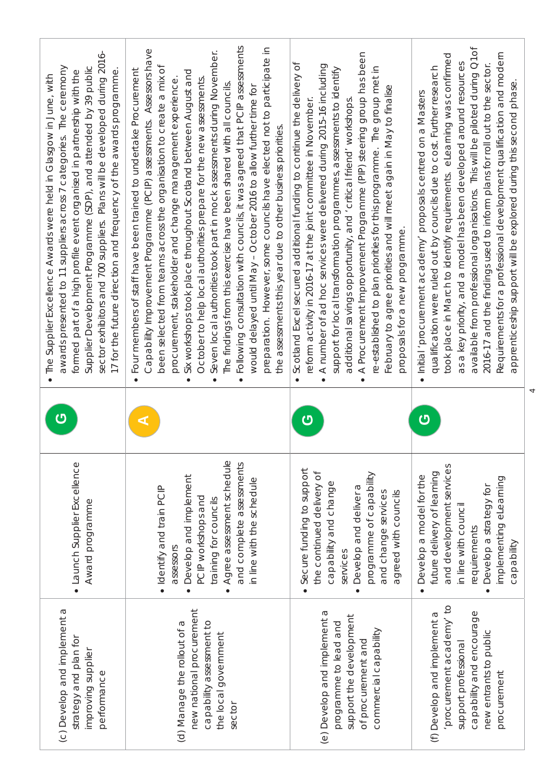| sector exhibitors and 700 suppliers. Plans will be developed during 2016-<br>awards presented to 11 suppliers across 7 categories. The ceremony<br>Supplier Development Programme (SDP), and attended by 39 public<br>formed part of a high profile event organised in partnership with the<br>17 for the future direction and frequency of the awards programme<br>The Supplier Excellence Awards were held in Glasgow in June, with | assessments<br>preparation. However, some councils have elected not to participate in<br>Assessors have<br>Seven local authorities took part in mock assessments during November.<br>ō<br>undertake Procurement<br>Six workshops took place throughout Scotland between August and<br>been selected from teams across the organisation to create a mix<br>October to help local authorities prepare for the new assessments<br>procurement, stakeholder and change management experience<br>The findings from this exercise have been shared with all councils<br>would delayed until May - October 2016 to allow further time for<br>Following consultation with councils, it was agreed that PCIP<br>assessments.<br>the assessments this year due to other business priorities<br>Four members of staff have been trained to<br>Capability Improvement Programme (PCIP)<br>$\bullet$<br>$\bullet$<br>$\bullet$<br>$\bullet$ | A Procurement Improvement Programme (PIP) steering group has been<br>Scotland Excel secured additional funding to continue the delivery of<br>A number of ad hoc services were delivered during 2015-16 including<br>re-established to plan priorities for this programme. The group met in<br>support for local transformation programmes, assessments to identify<br>February to agree priorities and will meet again in May to finalise<br>additional savings opportunity, and 'critical friend' workshops<br>reform activity in 2016-17 at the joint committee in November<br>proposals for a new programme.<br>$\bullet$<br>$\bullet$<br>$\bullet$ | Q <sub>1</sub> of<br>Requirements for a professional development qualification and modern<br>took place in March to identify requirements. eLearning was confirmed<br>a key priority, and a model has been developed around resources<br>qualification were ruled out by councils due to cost. Further research<br>2016-17 and the findings used to inform plans for roll out to the sector<br>available from professional organisations. This will be piloted during<br>apprenticeship support will be explored during this second phase<br>Initial 'procurement academy' proposals centred on a Masters<br>SB<br>$\bullet$ |
|---------------------------------------------------------------------------------------------------------------------------------------------------------------------------------------------------------------------------------------------------------------------------------------------------------------------------------------------------------------------------------------------------------------------------------------|--------------------------------------------------------------------------------------------------------------------------------------------------------------------------------------------------------------------------------------------------------------------------------------------------------------------------------------------------------------------------------------------------------------------------------------------------------------------------------------------------------------------------------------------------------------------------------------------------------------------------------------------------------------------------------------------------------------------------------------------------------------------------------------------------------------------------------------------------------------------------------------------------------------------------------|---------------------------------------------------------------------------------------------------------------------------------------------------------------------------------------------------------------------------------------------------------------------------------------------------------------------------------------------------------------------------------------------------------------------------------------------------------------------------------------------------------------------------------------------------------------------------------------------------------------------------------------------------------|------------------------------------------------------------------------------------------------------------------------------------------------------------------------------------------------------------------------------------------------------------------------------------------------------------------------------------------------------------------------------------------------------------------------------------------------------------------------------------------------------------------------------------------------------------------------------------------------------------------------------|
| Ū                                                                                                                                                                                                                                                                                                                                                                                                                                     |                                                                                                                                                                                                                                                                                                                                                                                                                                                                                                                                                                                                                                                                                                                                                                                                                                                                                                                                | ෆ                                                                                                                                                                                                                                                                                                                                                                                                                                                                                                                                                                                                                                                       | ෆ                                                                                                                                                                                                                                                                                                                                                                                                                                                                                                                                                                                                                            |
| · Launch Supplier Excellence<br>Award programme                                                                                                                                                                                                                                                                                                                                                                                       | Agree assessment schedule<br>and complete assessments<br>Develop and implement<br>in line with the schedule<br>· Identify and train PCIP<br>PCIP workshops and<br>training for councils<br>assessors                                                                                                                                                                                                                                                                                                                                                                                                                                                                                                                                                                                                                                                                                                                           | Secure funding to support<br>the continued delivery of<br>programme of capability<br>capability and change<br>Develop and deliver a<br>and change services<br>agreed with councils<br>services                                                                                                                                                                                                                                                                                                                                                                                                                                                          | and development services<br>future delivery of learning<br>Develop a model for the<br>implementing eLearning<br>Develop a strategy for<br>in line with council<br>requirements<br>capability<br>$\bullet$                                                                                                                                                                                                                                                                                                                                                                                                                    |
| (c) Develop and implement a<br>strategy and plan for<br>improving supplier<br>performance                                                                                                                                                                                                                                                                                                                                             | new national procurement<br>(d) Manage the rollout of a<br>capability assessment to<br>the local government<br>sector                                                                                                                                                                                                                                                                                                                                                                                                                                                                                                                                                                                                                                                                                                                                                                                                          | (e) Develop and implement a<br>support the development<br>programme to lead and<br>commercial capability<br>of procurement and                                                                                                                                                                                                                                                                                                                                                                                                                                                                                                                          | 'procurement academy' to<br>capability and encourage<br>(f) Develop and implement a<br>new entrants to public<br>support professional<br>procurement                                                                                                                                                                                                                                                                                                                                                                                                                                                                         |

 $\overline{4}$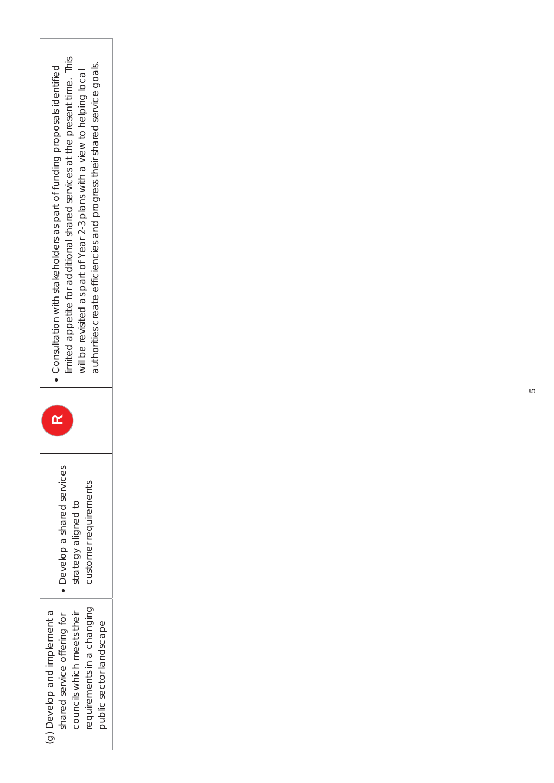| · Consultation with stakeholders as part of funding proposals identified | mited appetite for additional shared services at the present time. This | will be revisited as part of Year 2-3 plans with a view to helping local | authorities create efficiencies and progress their shared service goals. |                         |
|--------------------------------------------------------------------------|-------------------------------------------------------------------------|--------------------------------------------------------------------------|--------------------------------------------------------------------------|-------------------------|
| <u>p2</u>                                                                |                                                                         |                                                                          |                                                                          |                         |
| Develop a shared services<br>$\bullet$                                   |                                                                         | strategy aligned to                                                      | customer requirements                                                    |                         |
| (g) Develop and implement a<br>shared service offering for               |                                                                         | councils which meets their                                               | equirements in a changing                                                | public sector landscape |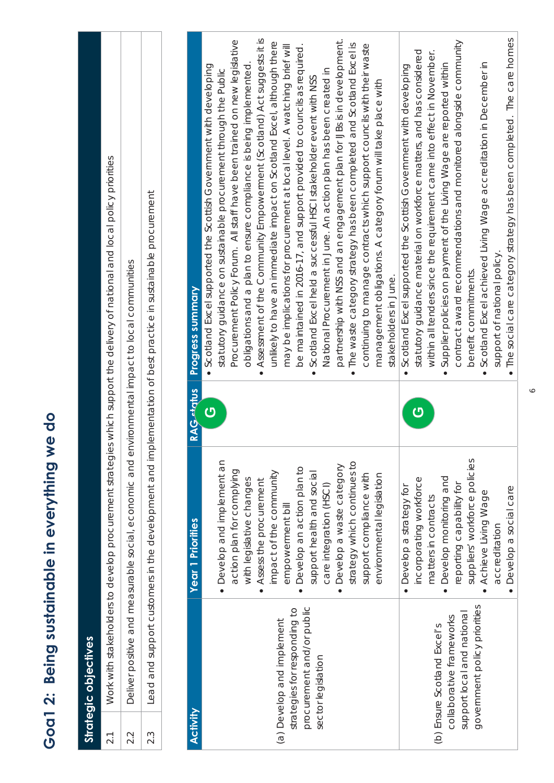| support of national policy<br>accreditation                                                                                                                                                           |                                                                                                                                                                                                                                                                                                                                                                                                                                                                                                                                                                                                                                                                                                                                                                                                                                                                                                                                                                                                                                                                                                                                                                                                                                                                                                                                                                                                                                                                                                                                                                                                                                                                                                                                                                                                                                                                                                                                                                                                                                                                                                                                       | <b>Strategic objectives</b>                                                                                                         |  |  |
|-------------------------------------------------------------------------------------------------------------------------------------------------------------------------------------------------------|---------------------------------------------------------------------------------------------------------------------------------------------------------------------------------------------------------------------------------------------------------------------------------------------------------------------------------------------------------------------------------------------------------------------------------------------------------------------------------------------------------------------------------------------------------------------------------------------------------------------------------------------------------------------------------------------------------------------------------------------------------------------------------------------------------------------------------------------------------------------------------------------------------------------------------------------------------------------------------------------------------------------------------------------------------------------------------------------------------------------------------------------------------------------------------------------------------------------------------------------------------------------------------------------------------------------------------------------------------------------------------------------------------------------------------------------------------------------------------------------------------------------------------------------------------------------------------------------------------------------------------------------------------------------------------------------------------------------------------------------------------------------------------------------------------------------------------------------------------------------------------------------------------------------------------------------------------------------------------------------------------------------------------------------------------------------------------------------------------------------------------------|-------------------------------------------------------------------------------------------------------------------------------------|--|--|
|                                                                                                                                                                                                       | Assessment of the Community Empowerment (Scotland) Act suggests it is<br>partnership with NSS and an engagement plan for IJBs is in development.<br>Procurement Policy Forum. All staff have been trained on new legislative<br>contract award recommendations and monitored alongside community<br>unlikely to have an immediate impact on Scotland Excel, although there<br>. The waste category strategy has been completed and Scotland Excel is<br>continuing to manage contracts which support councils with their waste<br>be maintained in 2016-17, and support provided to councils as required.<br>may be implications for procurement at local level. A watching brief will<br>statutory guidance material on workforce matters, and has considered<br>within all tenders since the requirement came into effect in November.<br>Supplier policies on payment of the Living Wage are reported within<br>• Scotland Excel supported the Scottish Government with developing<br>Scotland Excel supported the Scottish Government with developing<br>obligations and a plan to ensure compliance is being implemented<br>National Procurement in June. An action plan has been created in<br>statutory guidance on sustainable procurement through the Public<br>Scotland Excel held a successful HSCI stakeholder event with NSS<br>management obligations. A category forum will take place with<br>benefit commitments<br>stakeholders in June.<br>$\bullet$<br>$\bullet$<br>$\bullet$<br>$\bullet$<br>$\overline{\mathbf{C}}$<br><mark>ෆ</mark><br>suppliers' workforce policies<br>· Develop and implement an<br>strategy which continues to<br>· Develop a waste category<br>Develop an action plan to<br>action plan for complying<br>impact of the community<br>support health and social<br>support compliance with<br>environmental legislation<br>Develop monitoring and<br>incorporating workforce<br>with legislative changes<br>Assess the procurement<br>reporting capability for<br>care integration (HSCI)<br>• Develop a strategy for<br>matters in contracts<br>empowerment bill<br>$\bullet$<br>$\bullet$ | plementation of best practice in sustainable procurement<br><b>Progress summary</b><br><b>RAG datus</b><br><b>Year 1 Priorities</b> |  |  |
| The social care category strategy has been completed. The care homes<br>Develop a social care                                                                                                         | Scotland Excel achieved Living Wage accreditation in December in<br>Achieve Living Wage                                                                                                                                                                                                                                                                                                                                                                                                                                                                                                                                                                                                                                                                                                                                                                                                                                                                                                                                                                                                                                                                                                                                                                                                                                                                                                                                                                                                                                                                                                                                                                                                                                                                                                                                                                                                                                                                                                                                                                                                                                               |                                                                                                                                     |  |  |
|                                                                                                                                                                                                       |                                                                                                                                                                                                                                                                                                                                                                                                                                                                                                                                                                                                                                                                                                                                                                                                                                                                                                                                                                                                                                                                                                                                                                                                                                                                                                                                                                                                                                                                                                                                                                                                                                                                                                                                                                                                                                                                                                                                                                                                                                                                                                                                       |                                                                                                                                     |  |  |
|                                                                                                                                                                                                       |                                                                                                                                                                                                                                                                                                                                                                                                                                                                                                                                                                                                                                                                                                                                                                                                                                                                                                                                                                                                                                                                                                                                                                                                                                                                                                                                                                                                                                                                                                                                                                                                                                                                                                                                                                                                                                                                                                                                                                                                                                                                                                                                       |                                                                                                                                     |  |  |
|                                                                                                                                                                                                       |                                                                                                                                                                                                                                                                                                                                                                                                                                                                                                                                                                                                                                                                                                                                                                                                                                                                                                                                                                                                                                                                                                                                                                                                                                                                                                                                                                                                                                                                                                                                                                                                                                                                                                                                                                                                                                                                                                                                                                                                                                                                                                                                       |                                                                                                                                     |  |  |
|                                                                                                                                                                                                       |                                                                                                                                                                                                                                                                                                                                                                                                                                                                                                                                                                                                                                                                                                                                                                                                                                                                                                                                                                                                                                                                                                                                                                                                                                                                                                                                                                                                                                                                                                                                                                                                                                                                                                                                                                                                                                                                                                                                                                                                                                                                                                                                       |                                                                                                                                     |  |  |
|                                                                                                                                                                                                       |                                                                                                                                                                                                                                                                                                                                                                                                                                                                                                                                                                                                                                                                                                                                                                                                                                                                                                                                                                                                                                                                                                                                                                                                                                                                                                                                                                                                                                                                                                                                                                                                                                                                                                                                                                                                                                                                                                                                                                                                                                                                                                                                       |                                                                                                                                     |  |  |
|                                                                                                                                                                                                       |                                                                                                                                                                                                                                                                                                                                                                                                                                                                                                                                                                                                                                                                                                                                                                                                                                                                                                                                                                                                                                                                                                                                                                                                                                                                                                                                                                                                                                                                                                                                                                                                                                                                                                                                                                                                                                                                                                                                                                                                                                                                                                                                       |                                                                                                                                     |  |  |
|                                                                                                                                                                                                       |                                                                                                                                                                                                                                                                                                                                                                                                                                                                                                                                                                                                                                                                                                                                                                                                                                                                                                                                                                                                                                                                                                                                                                                                                                                                                                                                                                                                                                                                                                                                                                                                                                                                                                                                                                                                                                                                                                                                                                                                                                                                                                                                       |                                                                                                                                     |  |  |
|                                                                                                                                                                                                       |                                                                                                                                                                                                                                                                                                                                                                                                                                                                                                                                                                                                                                                                                                                                                                                                                                                                                                                                                                                                                                                                                                                                                                                                                                                                                                                                                                                                                                                                                                                                                                                                                                                                                                                                                                                                                                                                                                                                                                                                                                                                                                                                       |                                                                                                                                     |  |  |
|                                                                                                                                                                                                       |                                                                                                                                                                                                                                                                                                                                                                                                                                                                                                                                                                                                                                                                                                                                                                                                                                                                                                                                                                                                                                                                                                                                                                                                                                                                                                                                                                                                                                                                                                                                                                                                                                                                                                                                                                                                                                                                                                                                                                                                                                                                                                                                       |                                                                                                                                     |  |  |
|                                                                                                                                                                                                       |                                                                                                                                                                                                                                                                                                                                                                                                                                                                                                                                                                                                                                                                                                                                                                                                                                                                                                                                                                                                                                                                                                                                                                                                                                                                                                                                                                                                                                                                                                                                                                                                                                                                                                                                                                                                                                                                                                                                                                                                                                                                                                                                       |                                                                                                                                     |  |  |
|                                                                                                                                                                                                       |                                                                                                                                                                                                                                                                                                                                                                                                                                                                                                                                                                                                                                                                                                                                                                                                                                                                                                                                                                                                                                                                                                                                                                                                                                                                                                                                                                                                                                                                                                                                                                                                                                                                                                                                                                                                                                                                                                                                                                                                                                                                                                                                       |                                                                                                                                     |  |  |
|                                                                                                                                                                                                       |                                                                                                                                                                                                                                                                                                                                                                                                                                                                                                                                                                                                                                                                                                                                                                                                                                                                                                                                                                                                                                                                                                                                                                                                                                                                                                                                                                                                                                                                                                                                                                                                                                                                                                                                                                                                                                                                                                                                                                                                                                                                                                                                       |                                                                                                                                     |  |  |
|                                                                                                                                                                                                       |                                                                                                                                                                                                                                                                                                                                                                                                                                                                                                                                                                                                                                                                                                                                                                                                                                                                                                                                                                                                                                                                                                                                                                                                                                                                                                                                                                                                                                                                                                                                                                                                                                                                                                                                                                                                                                                                                                                                                                                                                                                                                                                                       |                                                                                                                                     |  |  |
|                                                                                                                                                                                                       |                                                                                                                                                                                                                                                                                                                                                                                                                                                                                                                                                                                                                                                                                                                                                                                                                                                                                                                                                                                                                                                                                                                                                                                                                                                                                                                                                                                                                                                                                                                                                                                                                                                                                                                                                                                                                                                                                                                                                                                                                                                                                                                                       |                                                                                                                                     |  |  |
|                                                                                                                                                                                                       |                                                                                                                                                                                                                                                                                                                                                                                                                                                                                                                                                                                                                                                                                                                                                                                                                                                                                                                                                                                                                                                                                                                                                                                                                                                                                                                                                                                                                                                                                                                                                                                                                                                                                                                                                                                                                                                                                                                                                                                                                                                                                                                                       |                                                                                                                                     |  |  |
| government policy priorities                                                                                                                                                                          |                                                                                                                                                                                                                                                                                                                                                                                                                                                                                                                                                                                                                                                                                                                                                                                                                                                                                                                                                                                                                                                                                                                                                                                                                                                                                                                                                                                                                                                                                                                                                                                                                                                                                                                                                                                                                                                                                                                                                                                                                                                                                                                                       |                                                                                                                                     |  |  |
|                                                                                                                                                                                                       |                                                                                                                                                                                                                                                                                                                                                                                                                                                                                                                                                                                                                                                                                                                                                                                                                                                                                                                                                                                                                                                                                                                                                                                                                                                                                                                                                                                                                                                                                                                                                                                                                                                                                                                                                                                                                                                                                                                                                                                                                                                                                                                                       |                                                                                                                                     |  |  |
|                                                                                                                                                                                                       |                                                                                                                                                                                                                                                                                                                                                                                                                                                                                                                                                                                                                                                                                                                                                                                                                                                                                                                                                                                                                                                                                                                                                                                                                                                                                                                                                                                                                                                                                                                                                                                                                                                                                                                                                                                                                                                                                                                                                                                                                                                                                                                                       |                                                                                                                                     |  |  |
|                                                                                                                                                                                                       |                                                                                                                                                                                                                                                                                                                                                                                                                                                                                                                                                                                                                                                                                                                                                                                                                                                                                                                                                                                                                                                                                                                                                                                                                                                                                                                                                                                                                                                                                                                                                                                                                                                                                                                                                                                                                                                                                                                                                                                                                                                                                                                                       |                                                                                                                                     |  |  |
|                                                                                                                                                                                                       |                                                                                                                                                                                                                                                                                                                                                                                                                                                                                                                                                                                                                                                                                                                                                                                                                                                                                                                                                                                                                                                                                                                                                                                                                                                                                                                                                                                                                                                                                                                                                                                                                                                                                                                                                                                                                                                                                                                                                                                                                                                                                                                                       |                                                                                                                                     |  |  |
|                                                                                                                                                                                                       |                                                                                                                                                                                                                                                                                                                                                                                                                                                                                                                                                                                                                                                                                                                                                                                                                                                                                                                                                                                                                                                                                                                                                                                                                                                                                                                                                                                                                                                                                                                                                                                                                                                                                                                                                                                                                                                                                                                                                                                                                                                                                                                                       |                                                                                                                                     |  |  |
|                                                                                                                                                                                                       |                                                                                                                                                                                                                                                                                                                                                                                                                                                                                                                                                                                                                                                                                                                                                                                                                                                                                                                                                                                                                                                                                                                                                                                                                                                                                                                                                                                                                                                                                                                                                                                                                                                                                                                                                                                                                                                                                                                                                                                                                                                                                                                                       |                                                                                                                                     |  |  |
|                                                                                                                                                                                                       |                                                                                                                                                                                                                                                                                                                                                                                                                                                                                                                                                                                                                                                                                                                                                                                                                                                                                                                                                                                                                                                                                                                                                                                                                                                                                                                                                                                                                                                                                                                                                                                                                                                                                                                                                                                                                                                                                                                                                                                                                                                                                                                                       |                                                                                                                                     |  |  |
|                                                                                                                                                                                                       |                                                                                                                                                                                                                                                                                                                                                                                                                                                                                                                                                                                                                                                                                                                                                                                                                                                                                                                                                                                                                                                                                                                                                                                                                                                                                                                                                                                                                                                                                                                                                                                                                                                                                                                                                                                                                                                                                                                                                                                                                                                                                                                                       |                                                                                                                                     |  |  |
|                                                                                                                                                                                                       |                                                                                                                                                                                                                                                                                                                                                                                                                                                                                                                                                                                                                                                                                                                                                                                                                                                                                                                                                                                                                                                                                                                                                                                                                                                                                                                                                                                                                                                                                                                                                                                                                                                                                                                                                                                                                                                                                                                                                                                                                                                                                                                                       |                                                                                                                                     |  |  |
|                                                                                                                                                                                                       |                                                                                                                                                                                                                                                                                                                                                                                                                                                                                                                                                                                                                                                                                                                                                                                                                                                                                                                                                                                                                                                                                                                                                                                                                                                                                                                                                                                                                                                                                                                                                                                                                                                                                                                                                                                                                                                                                                                                                                                                                                                                                                                                       |                                                                                                                                     |  |  |
|                                                                                                                                                                                                       |                                                                                                                                                                                                                                                                                                                                                                                                                                                                                                                                                                                                                                                                                                                                                                                                                                                                                                                                                                                                                                                                                                                                                                                                                                                                                                                                                                                                                                                                                                                                                                                                                                                                                                                                                                                                                                                                                                                                                                                                                                                                                                                                       |                                                                                                                                     |  |  |
|                                                                                                                                                                                                       |                                                                                                                                                                                                                                                                                                                                                                                                                                                                                                                                                                                                                                                                                                                                                                                                                                                                                                                                                                                                                                                                                                                                                                                                                                                                                                                                                                                                                                                                                                                                                                                                                                                                                                                                                                                                                                                                                                                                                                                                                                                                                                                                       |                                                                                                                                     |  |  |
|                                                                                                                                                                                                       |                                                                                                                                                                                                                                                                                                                                                                                                                                                                                                                                                                                                                                                                                                                                                                                                                                                                                                                                                                                                                                                                                                                                                                                                                                                                                                                                                                                                                                                                                                                                                                                                                                                                                                                                                                                                                                                                                                                                                                                                                                                                                                                                       |                                                                                                                                     |  |  |
|                                                                                                                                                                                                       |                                                                                                                                                                                                                                                                                                                                                                                                                                                                                                                                                                                                                                                                                                                                                                                                                                                                                                                                                                                                                                                                                                                                                                                                                                                                                                                                                                                                                                                                                                                                                                                                                                                                                                                                                                                                                                                                                                                                                                                                                                                                                                                                       |                                                                                                                                     |  |  |
|                                                                                                                                                                                                       |                                                                                                                                                                                                                                                                                                                                                                                                                                                                                                                                                                                                                                                                                                                                                                                                                                                                                                                                                                                                                                                                                                                                                                                                                                                                                                                                                                                                                                                                                                                                                                                                                                                                                                                                                                                                                                                                                                                                                                                                                                                                                                                                       |                                                                                                                                     |  |  |
|                                                                                                                                                                                                       |                                                                                                                                                                                                                                                                                                                                                                                                                                                                                                                                                                                                                                                                                                                                                                                                                                                                                                                                                                                                                                                                                                                                                                                                                                                                                                                                                                                                                                                                                                                                                                                                                                                                                                                                                                                                                                                                                                                                                                                                                                                                                                                                       |                                                                                                                                     |  |  |
|                                                                                                                                                                                                       |                                                                                                                                                                                                                                                                                                                                                                                                                                                                                                                                                                                                                                                                                                                                                                                                                                                                                                                                                                                                                                                                                                                                                                                                                                                                                                                                                                                                                                                                                                                                                                                                                                                                                                                                                                                                                                                                                                                                                                                                                                                                                                                                       |                                                                                                                                     |  |  |
|                                                                                                                                                                                                       |                                                                                                                                                                                                                                                                                                                                                                                                                                                                                                                                                                                                                                                                                                                                                                                                                                                                                                                                                                                                                                                                                                                                                                                                                                                                                                                                                                                                                                                                                                                                                                                                                                                                                                                                                                                                                                                                                                                                                                                                                                                                                                                                       |                                                                                                                                     |  |  |
|                                                                                                                                                                                                       |                                                                                                                                                                                                                                                                                                                                                                                                                                                                                                                                                                                                                                                                                                                                                                                                                                                                                                                                                                                                                                                                                                                                                                                                                                                                                                                                                                                                                                                                                                                                                                                                                                                                                                                                                                                                                                                                                                                                                                                                                                                                                                                                       |                                                                                                                                     |  |  |
|                                                                                                                                                                                                       |                                                                                                                                                                                                                                                                                                                                                                                                                                                                                                                                                                                                                                                                                                                                                                                                                                                                                                                                                                                                                                                                                                                                                                                                                                                                                                                                                                                                                                                                                                                                                                                                                                                                                                                                                                                                                                                                                                                                                                                                                                                                                                                                       |                                                                                                                                     |  |  |
|                                                                                                                                                                                                       |                                                                                                                                                                                                                                                                                                                                                                                                                                                                                                                                                                                                                                                                                                                                                                                                                                                                                                                                                                                                                                                                                                                                                                                                                                                                                                                                                                                                                                                                                                                                                                                                                                                                                                                                                                                                                                                                                                                                                                                                                                                                                                                                       |                                                                                                                                     |  |  |
|                                                                                                                                                                                                       |                                                                                                                                                                                                                                                                                                                                                                                                                                                                                                                                                                                                                                                                                                                                                                                                                                                                                                                                                                                                                                                                                                                                                                                                                                                                                                                                                                                                                                                                                                                                                                                                                                                                                                                                                                                                                                                                                                                                                                                                                                                                                                                                       |                                                                                                                                     |  |  |
|                                                                                                                                                                                                       |                                                                                                                                                                                                                                                                                                                                                                                                                                                                                                                                                                                                                                                                                                                                                                                                                                                                                                                                                                                                                                                                                                                                                                                                                                                                                                                                                                                                                                                                                                                                                                                                                                                                                                                                                                                                                                                                                                                                                                                                                                                                                                                                       |                                                                                                                                     |  |  |
|                                                                                                                                                                                                       |                                                                                                                                                                                                                                                                                                                                                                                                                                                                                                                                                                                                                                                                                                                                                                                                                                                                                                                                                                                                                                                                                                                                                                                                                                                                                                                                                                                                                                                                                                                                                                                                                                                                                                                                                                                                                                                                                                                                                                                                                                                                                                                                       |                                                                                                                                     |  |  |
|                                                                                                                                                                                                       |                                                                                                                                                                                                                                                                                                                                                                                                                                                                                                                                                                                                                                                                                                                                                                                                                                                                                                                                                                                                                                                                                                                                                                                                                                                                                                                                                                                                                                                                                                                                                                                                                                                                                                                                                                                                                                                                                                                                                                                                                                                                                                                                       |                                                                                                                                     |  |  |
|                                                                                                                                                                                                       |                                                                                                                                                                                                                                                                                                                                                                                                                                                                                                                                                                                                                                                                                                                                                                                                                                                                                                                                                                                                                                                                                                                                                                                                                                                                                                                                                                                                                                                                                                                                                                                                                                                                                                                                                                                                                                                                                                                                                                                                                                                                                                                                       |                                                                                                                                     |  |  |
|                                                                                                                                                                                                       |                                                                                                                                                                                                                                                                                                                                                                                                                                                                                                                                                                                                                                                                                                                                                                                                                                                                                                                                                                                                                                                                                                                                                                                                                                                                                                                                                                                                                                                                                                                                                                                                                                                                                                                                                                                                                                                                                                                                                                                                                                                                                                                                       |                                                                                                                                     |  |  |
|                                                                                                                                                                                                       |                                                                                                                                                                                                                                                                                                                                                                                                                                                                                                                                                                                                                                                                                                                                                                                                                                                                                                                                                                                                                                                                                                                                                                                                                                                                                                                                                                                                                                                                                                                                                                                                                                                                                                                                                                                                                                                                                                                                                                                                                                                                                                                                       |                                                                                                                                     |  |  |
|                                                                                                                                                                                                       |                                                                                                                                                                                                                                                                                                                                                                                                                                                                                                                                                                                                                                                                                                                                                                                                                                                                                                                                                                                                                                                                                                                                                                                                                                                                                                                                                                                                                                                                                                                                                                                                                                                                                                                                                                                                                                                                                                                                                                                                                                                                                                                                       |                                                                                                                                     |  |  |
|                                                                                                                                                                                                       |                                                                                                                                                                                                                                                                                                                                                                                                                                                                                                                                                                                                                                                                                                                                                                                                                                                                                                                                                                                                                                                                                                                                                                                                                                                                                                                                                                                                                                                                                                                                                                                                                                                                                                                                                                                                                                                                                                                                                                                                                                                                                                                                       |                                                                                                                                     |  |  |
|                                                                                                                                                                                                       |                                                                                                                                                                                                                                                                                                                                                                                                                                                                                                                                                                                                                                                                                                                                                                                                                                                                                                                                                                                                                                                                                                                                                                                                                                                                                                                                                                                                                                                                                                                                                                                                                                                                                                                                                                                                                                                                                                                                                                                                                                                                                                                                       |                                                                                                                                     |  |  |
|                                                                                                                                                                                                       |                                                                                                                                                                                                                                                                                                                                                                                                                                                                                                                                                                                                                                                                                                                                                                                                                                                                                                                                                                                                                                                                                                                                                                                                                                                                                                                                                                                                                                                                                                                                                                                                                                                                                                                                                                                                                                                                                                                                                                                                                                                                                                                                       |                                                                                                                                     |  |  |
|                                                                                                                                                                                                       |                                                                                                                                                                                                                                                                                                                                                                                                                                                                                                                                                                                                                                                                                                                                                                                                                                                                                                                                                                                                                                                                                                                                                                                                                                                                                                                                                                                                                                                                                                                                                                                                                                                                                                                                                                                                                                                                                                                                                                                                                                                                                                                                       |                                                                                                                                     |  |  |
|                                                                                                                                                                                                       |                                                                                                                                                                                                                                                                                                                                                                                                                                                                                                                                                                                                                                                                                                                                                                                                                                                                                                                                                                                                                                                                                                                                                                                                                                                                                                                                                                                                                                                                                                                                                                                                                                                                                                                                                                                                                                                                                                                                                                                                                                                                                                                                       |                                                                                                                                     |  |  |
|                                                                                                                                                                                                       |                                                                                                                                                                                                                                                                                                                                                                                                                                                                                                                                                                                                                                                                                                                                                                                                                                                                                                                                                                                                                                                                                                                                                                                                                                                                                                                                                                                                                                                                                                                                                                                                                                                                                                                                                                                                                                                                                                                                                                                                                                                                                                                                       |                                                                                                                                     |  |  |
|                                                                                                                                                                                                       |                                                                                                                                                                                                                                                                                                                                                                                                                                                                                                                                                                                                                                                                                                                                                                                                                                                                                                                                                                                                                                                                                                                                                                                                                                                                                                                                                                                                                                                                                                                                                                                                                                                                                                                                                                                                                                                                                                                                                                                                                                                                                                                                       |                                                                                                                                     |  |  |
|                                                                                                                                                                                                       |                                                                                                                                                                                                                                                                                                                                                                                                                                                                                                                                                                                                                                                                                                                                                                                                                                                                                                                                                                                                                                                                                                                                                                                                                                                                                                                                                                                                                                                                                                                                                                                                                                                                                                                                                                                                                                                                                                                                                                                                                                                                                                                                       |                                                                                                                                     |  |  |
|                                                                                                                                                                                                       |                                                                                                                                                                                                                                                                                                                                                                                                                                                                                                                                                                                                                                                                                                                                                                                                                                                                                                                                                                                                                                                                                                                                                                                                                                                                                                                                                                                                                                                                                                                                                                                                                                                                                                                                                                                                                                                                                                                                                                                                                                                                                                                                       |                                                                                                                                     |  |  |
|                                                                                                                                                                                                       |                                                                                                                                                                                                                                                                                                                                                                                                                                                                                                                                                                                                                                                                                                                                                                                                                                                                                                                                                                                                                                                                                                                                                                                                                                                                                                                                                                                                                                                                                                                                                                                                                                                                                                                                                                                                                                                                                                                                                                                                                                                                                                                                       |                                                                                                                                     |  |  |
|                                                                                                                                                                                                       |                                                                                                                                                                                                                                                                                                                                                                                                                                                                                                                                                                                                                                                                                                                                                                                                                                                                                                                                                                                                                                                                                                                                                                                                                                                                                                                                                                                                                                                                                                                                                                                                                                                                                                                                                                                                                                                                                                                                                                                                                                                                                                                                       |                                                                                                                                     |  |  |
|                                                                                                                                                                                                       |                                                                                                                                                                                                                                                                                                                                                                                                                                                                                                                                                                                                                                                                                                                                                                                                                                                                                                                                                                                                                                                                                                                                                                                                                                                                                                                                                                                                                                                                                                                                                                                                                                                                                                                                                                                                                                                                                                                                                                                                                                                                                                                                       |                                                                                                                                     |  |  |
|                                                                                                                                                                                                       |                                                                                                                                                                                                                                                                                                                                                                                                                                                                                                                                                                                                                                                                                                                                                                                                                                                                                                                                                                                                                                                                                                                                                                                                                                                                                                                                                                                                                                                                                                                                                                                                                                                                                                                                                                                                                                                                                                                                                                                                                                                                                                                                       |                                                                                                                                     |  |  |
|                                                                                                                                                                                                       |                                                                                                                                                                                                                                                                                                                                                                                                                                                                                                                                                                                                                                                                                                                                                                                                                                                                                                                                                                                                                                                                                                                                                                                                                                                                                                                                                                                                                                                                                                                                                                                                                                                                                                                                                                                                                                                                                                                                                                                                                                                                                                                                       |                                                                                                                                     |  |  |
|                                                                                                                                                                                                       |                                                                                                                                                                                                                                                                                                                                                                                                                                                                                                                                                                                                                                                                                                                                                                                                                                                                                                                                                                                                                                                                                                                                                                                                                                                                                                                                                                                                                                                                                                                                                                                                                                                                                                                                                                                                                                                                                                                                                                                                                                                                                                                                       |                                                                                                                                     |  |  |
|                                                                                                                                                                                                       |                                                                                                                                                                                                                                                                                                                                                                                                                                                                                                                                                                                                                                                                                                                                                                                                                                                                                                                                                                                                                                                                                                                                                                                                                                                                                                                                                                                                                                                                                                                                                                                                                                                                                                                                                                                                                                                                                                                                                                                                                                                                                                                                       |                                                                                                                                     |  |  |
|                                                                                                                                                                                                       |                                                                                                                                                                                                                                                                                                                                                                                                                                                                                                                                                                                                                                                                                                                                                                                                                                                                                                                                                                                                                                                                                                                                                                                                                                                                                                                                                                                                                                                                                                                                                                                                                                                                                                                                                                                                                                                                                                                                                                                                                                                                                                                                       |                                                                                                                                     |  |  |
|                                                                                                                                                                                                       |                                                                                                                                                                                                                                                                                                                                                                                                                                                                                                                                                                                                                                                                                                                                                                                                                                                                                                                                                                                                                                                                                                                                                                                                                                                                                                                                                                                                                                                                                                                                                                                                                                                                                                                                                                                                                                                                                                                                                                                                                                                                                                                                       |                                                                                                                                     |  |  |
|                                                                                                                                                                                                       |                                                                                                                                                                                                                                                                                                                                                                                                                                                                                                                                                                                                                                                                                                                                                                                                                                                                                                                                                                                                                                                                                                                                                                                                                                                                                                                                                                                                                                                                                                                                                                                                                                                                                                                                                                                                                                                                                                                                                                                                                                                                                                                                       |                                                                                                                                     |  |  |
|                                                                                                                                                                                                       |                                                                                                                                                                                                                                                                                                                                                                                                                                                                                                                                                                                                                                                                                                                                                                                                                                                                                                                                                                                                                                                                                                                                                                                                                                                                                                                                                                                                                                                                                                                                                                                                                                                                                                                                                                                                                                                                                                                                                                                                                                                                                                                                       |                                                                                                                                     |  |  |
|                                                                                                                                                                                                       |                                                                                                                                                                                                                                                                                                                                                                                                                                                                                                                                                                                                                                                                                                                                                                                                                                                                                                                                                                                                                                                                                                                                                                                                                                                                                                                                                                                                                                                                                                                                                                                                                                                                                                                                                                                                                                                                                                                                                                                                                                                                                                                                       |                                                                                                                                     |  |  |
|                                                                                                                                                                                                       |                                                                                                                                                                                                                                                                                                                                                                                                                                                                                                                                                                                                                                                                                                                                                                                                                                                                                                                                                                                                                                                                                                                                                                                                                                                                                                                                                                                                                                                                                                                                                                                                                                                                                                                                                                                                                                                                                                                                                                                                                                                                                                                                       |                                                                                                                                     |  |  |
|                                                                                                                                                                                                       |                                                                                                                                                                                                                                                                                                                                                                                                                                                                                                                                                                                                                                                                                                                                                                                                                                                                                                                                                                                                                                                                                                                                                                                                                                                                                                                                                                                                                                                                                                                                                                                                                                                                                                                                                                                                                                                                                                                                                                                                                                                                                                                                       |                                                                                                                                     |  |  |
|                                                                                                                                                                                                       |                                                                                                                                                                                                                                                                                                                                                                                                                                                                                                                                                                                                                                                                                                                                                                                                                                                                                                                                                                                                                                                                                                                                                                                                                                                                                                                                                                                                                                                                                                                                                                                                                                                                                                                                                                                                                                                                                                                                                                                                                                                                                                                                       |                                                                                                                                     |  |  |
|                                                                                                                                                                                                       |                                                                                                                                                                                                                                                                                                                                                                                                                                                                                                                                                                                                                                                                                                                                                                                                                                                                                                                                                                                                                                                                                                                                                                                                                                                                                                                                                                                                                                                                                                                                                                                                                                                                                                                                                                                                                                                                                                                                                                                                                                                                                                                                       |                                                                                                                                     |  |  |
|                                                                                                                                                                                                       |                                                                                                                                                                                                                                                                                                                                                                                                                                                                                                                                                                                                                                                                                                                                                                                                                                                                                                                                                                                                                                                                                                                                                                                                                                                                                                                                                                                                                                                                                                                                                                                                                                                                                                                                                                                                                                                                                                                                                                                                                                                                                                                                       |                                                                                                                                     |  |  |
|                                                                                                                                                                                                       |                                                                                                                                                                                                                                                                                                                                                                                                                                                                                                                                                                                                                                                                                                                                                                                                                                                                                                                                                                                                                                                                                                                                                                                                                                                                                                                                                                                                                                                                                                                                                                                                                                                                                                                                                                                                                                                                                                                                                                                                                                                                                                                                       |                                                                                                                                     |  |  |
|                                                                                                                                                                                                       |                                                                                                                                                                                                                                                                                                                                                                                                                                                                                                                                                                                                                                                                                                                                                                                                                                                                                                                                                                                                                                                                                                                                                                                                                                                                                                                                                                                                                                                                                                                                                                                                                                                                                                                                                                                                                                                                                                                                                                                                                                                                                                                                       |                                                                                                                                     |  |  |
|                                                                                                                                                                                                       |                                                                                                                                                                                                                                                                                                                                                                                                                                                                                                                                                                                                                                                                                                                                                                                                                                                                                                                                                                                                                                                                                                                                                                                                                                                                                                                                                                                                                                                                                                                                                                                                                                                                                                                                                                                                                                                                                                                                                                                                                                                                                                                                       |                                                                                                                                     |  |  |
|                                                                                                                                                                                                       |                                                                                                                                                                                                                                                                                                                                                                                                                                                                                                                                                                                                                                                                                                                                                                                                                                                                                                                                                                                                                                                                                                                                                                                                                                                                                                                                                                                                                                                                                                                                                                                                                                                                                                                                                                                                                                                                                                                                                                                                                                                                                                                                       |                                                                                                                                     |  |  |
|                                                                                                                                                                                                       |                                                                                                                                                                                                                                                                                                                                                                                                                                                                                                                                                                                                                                                                                                                                                                                                                                                                                                                                                                                                                                                                                                                                                                                                                                                                                                                                                                                                                                                                                                                                                                                                                                                                                                                                                                                                                                                                                                                                                                                                                                                                                                                                       |                                                                                                                                     |  |  |
|                                                                                                                                                                                                       |                                                                                                                                                                                                                                                                                                                                                                                                                                                                                                                                                                                                                                                                                                                                                                                                                                                                                                                                                                                                                                                                                                                                                                                                                                                                                                                                                                                                                                                                                                                                                                                                                                                                                                                                                                                                                                                                                                                                                                                                                                                                                                                                       |                                                                                                                                     |  |  |
|                                                                                                                                                                                                       |                                                                                                                                                                                                                                                                                                                                                                                                                                                                                                                                                                                                                                                                                                                                                                                                                                                                                                                                                                                                                                                                                                                                                                                                                                                                                                                                                                                                                                                                                                                                                                                                                                                                                                                                                                                                                                                                                                                                                                                                                                                                                                                                       |                                                                                                                                     |  |  |
|                                                                                                                                                                                                       |                                                                                                                                                                                                                                                                                                                                                                                                                                                                                                                                                                                                                                                                                                                                                                                                                                                                                                                                                                                                                                                                                                                                                                                                                                                                                                                                                                                                                                                                                                                                                                                                                                                                                                                                                                                                                                                                                                                                                                                                                                                                                                                                       |                                                                                                                                     |  |  |
|                                                                                                                                                                                                       |                                                                                                                                                                                                                                                                                                                                                                                                                                                                                                                                                                                                                                                                                                                                                                                                                                                                                                                                                                                                                                                                                                                                                                                                                                                                                                                                                                                                                                                                                                                                                                                                                                                                                                                                                                                                                                                                                                                                                                                                                                                                                                                                       |                                                                                                                                     |  |  |
| procurement and/or public<br>strategies for responding to<br>support local and national<br>collaborative frameworks<br>(a) Develop and implement<br>(b) Ensure Scotland Excel's<br>sector legislation |                                                                                                                                                                                                                                                                                                                                                                                                                                                                                                                                                                                                                                                                                                                                                                                                                                                                                                                                                                                                                                                                                                                                                                                                                                                                                                                                                                                                                                                                                                                                                                                                                                                                                                                                                                                                                                                                                                                                                                                                                                                                                                                                       |                                                                                                                                     |  |  |
|                                                                                                                                                                                                       |                                                                                                                                                                                                                                                                                                                                                                                                                                                                                                                                                                                                                                                                                                                                                                                                                                                                                                                                                                                                                                                                                                                                                                                                                                                                                                                                                                                                                                                                                                                                                                                                                                                                                                                                                                                                                                                                                                                                                                                                                                                                                                                                       |                                                                                                                                     |  |  |
|                                                                                                                                                                                                       |                                                                                                                                                                                                                                                                                                                                                                                                                                                                                                                                                                                                                                                                                                                                                                                                                                                                                                                                                                                                                                                                                                                                                                                                                                                                                                                                                                                                                                                                                                                                                                                                                                                                                                                                                                                                                                                                                                                                                                                                                                                                                                                                       |                                                                                                                                     |  |  |
|                                                                                                                                                                                                       |                                                                                                                                                                                                                                                                                                                                                                                                                                                                                                                                                                                                                                                                                                                                                                                                                                                                                                                                                                                                                                                                                                                                                                                                                                                                                                                                                                                                                                                                                                                                                                                                                                                                                                                                                                                                                                                                                                                                                                                                                                                                                                                                       |                                                                                                                                     |  |  |
|                                                                                                                                                                                                       |                                                                                                                                                                                                                                                                                                                                                                                                                                                                                                                                                                                                                                                                                                                                                                                                                                                                                                                                                                                                                                                                                                                                                                                                                                                                                                                                                                                                                                                                                                                                                                                                                                                                                                                                                                                                                                                                                                                                                                                                                                                                                                                                       |                                                                                                                                     |  |  |
|                                                                                                                                                                                                       |                                                                                                                                                                                                                                                                                                                                                                                                                                                                                                                                                                                                                                                                                                                                                                                                                                                                                                                                                                                                                                                                                                                                                                                                                                                                                                                                                                                                                                                                                                                                                                                                                                                                                                                                                                                                                                                                                                                                                                                                                                                                                                                                       |                                                                                                                                     |  |  |
|                                                                                                                                                                                                       |                                                                                                                                                                                                                                                                                                                                                                                                                                                                                                                                                                                                                                                                                                                                                                                                                                                                                                                                                                                                                                                                                                                                                                                                                                                                                                                                                                                                                                                                                                                                                                                                                                                                                                                                                                                                                                                                                                                                                                                                                                                                                                                                       |                                                                                                                                     |  |  |
|                                                                                                                                                                                                       |                                                                                                                                                                                                                                                                                                                                                                                                                                                                                                                                                                                                                                                                                                                                                                                                                                                                                                                                                                                                                                                                                                                                                                                                                                                                                                                                                                                                                                                                                                                                                                                                                                                                                                                                                                                                                                                                                                                                                                                                                                                                                                                                       |                                                                                                                                     |  |  |
|                                                                                                                                                                                                       |                                                                                                                                                                                                                                                                                                                                                                                                                                                                                                                                                                                                                                                                                                                                                                                                                                                                                                                                                                                                                                                                                                                                                                                                                                                                                                                                                                                                                                                                                                                                                                                                                                                                                                                                                                                                                                                                                                                                                                                                                                                                                                                                       |                                                                                                                                     |  |  |
|                                                                                                                                                                                                       |                                                                                                                                                                                                                                                                                                                                                                                                                                                                                                                                                                                                                                                                                                                                                                                                                                                                                                                                                                                                                                                                                                                                                                                                                                                                                                                                                                                                                                                                                                                                                                                                                                                                                                                                                                                                                                                                                                                                                                                                                                                                                                                                       |                                                                                                                                     |  |  |
|                                                                                                                                                                                                       |                                                                                                                                                                                                                                                                                                                                                                                                                                                                                                                                                                                                                                                                                                                                                                                                                                                                                                                                                                                                                                                                                                                                                                                                                                                                                                                                                                                                                                                                                                                                                                                                                                                                                                                                                                                                                                                                                                                                                                                                                                                                                                                                       |                                                                                                                                     |  |  |
| Lead and support customers in the development and im                                                                                                                                                  |                                                                                                                                                                                                                                                                                                                                                                                                                                                                                                                                                                                                                                                                                                                                                                                                                                                                                                                                                                                                                                                                                                                                                                                                                                                                                                                                                                                                                                                                                                                                                                                                                                                                                                                                                                                                                                                                                                                                                                                                                                                                                                                                       |                                                                                                                                     |  |  |
|                                                                                                                                                                                                       |                                                                                                                                                                                                                                                                                                                                                                                                                                                                                                                                                                                                                                                                                                                                                                                                                                                                                                                                                                                                                                                                                                                                                                                                                                                                                                                                                                                                                                                                                                                                                                                                                                                                                                                                                                                                                                                                                                                                                                                                                                                                                                                                       |                                                                                                                                     |  |  |
| Deliver positive and measurable social, economic and environmental impact to local communities                                                                                                        |                                                                                                                                                                                                                                                                                                                                                                                                                                                                                                                                                                                                                                                                                                                                                                                                                                                                                                                                                                                                                                                                                                                                                                                                                                                                                                                                                                                                                                                                                                                                                                                                                                                                                                                                                                                                                                                                                                                                                                                                                                                                                                                                       |                                                                                                                                     |  |  |
|                                                                                                                                                                                                       |                                                                                                                                                                                                                                                                                                                                                                                                                                                                                                                                                                                                                                                                                                                                                                                                                                                                                                                                                                                                                                                                                                                                                                                                                                                                                                                                                                                                                                                                                                                                                                                                                                                                                                                                                                                                                                                                                                                                                                                                                                                                                                                                       |                                                                                                                                     |  |  |
|                                                                                                                                                                                                       |                                                                                                                                                                                                                                                                                                                                                                                                                                                                                                                                                                                                                                                                                                                                                                                                                                                                                                                                                                                                                                                                                                                                                                                                                                                                                                                                                                                                                                                                                                                                                                                                                                                                                                                                                                                                                                                                                                                                                                                                                                                                                                                                       |                                                                                                                                     |  |  |
|                                                                                                                                                                                                       |                                                                                                                                                                                                                                                                                                                                                                                                                                                                                                                                                                                                                                                                                                                                                                                                                                                                                                                                                                                                                                                                                                                                                                                                                                                                                                                                                                                                                                                                                                                                                                                                                                                                                                                                                                                                                                                                                                                                                                                                                                                                                                                                       |                                                                                                                                     |  |  |
|                                                                                                                                                                                                       |                                                                                                                                                                                                                                                                                                                                                                                                                                                                                                                                                                                                                                                                                                                                                                                                                                                                                                                                                                                                                                                                                                                                                                                                                                                                                                                                                                                                                                                                                                                                                                                                                                                                                                                                                                                                                                                                                                                                                                                                                                                                                                                                       |                                                                                                                                     |  |  |
|                                                                                                                                                                                                       |                                                                                                                                                                                                                                                                                                                                                                                                                                                                                                                                                                                                                                                                                                                                                                                                                                                                                                                                                                                                                                                                                                                                                                                                                                                                                                                                                                                                                                                                                                                                                                                                                                                                                                                                                                                                                                                                                                                                                                                                                                                                                                                                       |                                                                                                                                     |  |  |
|                                                                                                                                                                                                       |                                                                                                                                                                                                                                                                                                                                                                                                                                                                                                                                                                                                                                                                                                                                                                                                                                                                                                                                                                                                                                                                                                                                                                                                                                                                                                                                                                                                                                                                                                                                                                                                                                                                                                                                                                                                                                                                                                                                                                                                                                                                                                                                       |                                                                                                                                     |  |  |
|                                                                                                                                                                                                       |                                                                                                                                                                                                                                                                                                                                                                                                                                                                                                                                                                                                                                                                                                                                                                                                                                                                                                                                                                                                                                                                                                                                                                                                                                                                                                                                                                                                                                                                                                                                                                                                                                                                                                                                                                                                                                                                                                                                                                                                                                                                                                                                       |                                                                                                                                     |  |  |
|                                                                                                                                                                                                       |                                                                                                                                                                                                                                                                                                                                                                                                                                                                                                                                                                                                                                                                                                                                                                                                                                                                                                                                                                                                                                                                                                                                                                                                                                                                                                                                                                                                                                                                                                                                                                                                                                                                                                                                                                                                                                                                                                                                                                                                                                                                                                                                       |                                                                                                                                     |  |  |
|                                                                                                                                                                                                       |                                                                                                                                                                                                                                                                                                                                                                                                                                                                                                                                                                                                                                                                                                                                                                                                                                                                                                                                                                                                                                                                                                                                                                                                                                                                                                                                                                                                                                                                                                                                                                                                                                                                                                                                                                                                                                                                                                                                                                                                                                                                                                                                       |                                                                                                                                     |  |  |
| Work with stakeholders to develop procurement strategies which support the delivery of national and local policy priorities                                                                           |                                                                                                                                                                                                                                                                                                                                                                                                                                                                                                                                                                                                                                                                                                                                                                                                                                                                                                                                                                                                                                                                                                                                                                                                                                                                                                                                                                                                                                                                                                                                                                                                                                                                                                                                                                                                                                                                                                                                                                                                                                                                                                                                       |                                                                                                                                     |  |  |
|                                                                                                                                                                                                       |                                                                                                                                                                                                                                                                                                                                                                                                                                                                                                                                                                                                                                                                                                                                                                                                                                                                                                                                                                                                                                                                                                                                                                                                                                                                                                                                                                                                                                                                                                                                                                                                                                                                                                                                                                                                                                                                                                                                                                                                                                                                                                                                       |                                                                                                                                     |  |  |
|                                                                                                                                                                                                       |                                                                                                                                                                                                                                                                                                                                                                                                                                                                                                                                                                                                                                                                                                                                                                                                                                                                                                                                                                                                                                                                                                                                                                                                                                                                                                                                                                                                                                                                                                                                                                                                                                                                                                                                                                                                                                                                                                                                                                                                                                                                                                                                       |                                                                                                                                     |  |  |
|                                                                                                                                                                                                       |                                                                                                                                                                                                                                                                                                                                                                                                                                                                                                                                                                                                                                                                                                                                                                                                                                                                                                                                                                                                                                                                                                                                                                                                                                                                                                                                                                                                                                                                                                                                                                                                                                                                                                                                                                                                                                                                                                                                                                                                                                                                                                                                       |                                                                                                                                     |  |  |
|                                                                                                                                                                                                       |                                                                                                                                                                                                                                                                                                                                                                                                                                                                                                                                                                                                                                                                                                                                                                                                                                                                                                                                                                                                                                                                                                                                                                                                                                                                                                                                                                                                                                                                                                                                                                                                                                                                                                                                                                                                                                                                                                                                                                                                                                                                                                                                       |                                                                                                                                     |  |  |
|                                                                                                                                                                                                       |                                                                                                                                                                                                                                                                                                                                                                                                                                                                                                                                                                                                                                                                                                                                                                                                                                                                                                                                                                                                                                                                                                                                                                                                                                                                                                                                                                                                                                                                                                                                                                                                                                                                                                                                                                                                                                                                                                                                                                                                                                                                                                                                       |                                                                                                                                     |  |  |
|                                                                                                                                                                                                       |                                                                                                                                                                                                                                                                                                                                                                                                                                                                                                                                                                                                                                                                                                                                                                                                                                                                                                                                                                                                                                                                                                                                                                                                                                                                                                                                                                                                                                                                                                                                                                                                                                                                                                                                                                                                                                                                                                                                                                                                                                                                                                                                       |                                                                                                                                     |  |  |
|                                                                                                                                                                                                       |                                                                                                                                                                                                                                                                                                                                                                                                                                                                                                                                                                                                                                                                                                                                                                                                                                                                                                                                                                                                                                                                                                                                                                                                                                                                                                                                                                                                                                                                                                                                                                                                                                                                                                                                                                                                                                                                                                                                                                                                                                                                                                                                       |                                                                                                                                     |  |  |
|                                                                                                                                                                                                       |                                                                                                                                                                                                                                                                                                                                                                                                                                                                                                                                                                                                                                                                                                                                                                                                                                                                                                                                                                                                                                                                                                                                                                                                                                                                                                                                                                                                                                                                                                                                                                                                                                                                                                                                                                                                                                                                                                                                                                                                                                                                                                                                       |                                                                                                                                     |  |  |
|                                                                                                                                                                                                       |                                                                                                                                                                                                                                                                                                                                                                                                                                                                                                                                                                                                                                                                                                                                                                                                                                                                                                                                                                                                                                                                                                                                                                                                                                                                                                                                                                                                                                                                                                                                                                                                                                                                                                                                                                                                                                                                                                                                                                                                                                                                                                                                       |                                                                                                                                     |  |  |
|                                                                                                                                                                                                       |                                                                                                                                                                                                                                                                                                                                                                                                                                                                                                                                                                                                                                                                                                                                                                                                                                                                                                                                                                                                                                                                                                                                                                                                                                                                                                                                                                                                                                                                                                                                                                                                                                                                                                                                                                                                                                                                                                                                                                                                                                                                                                                                       |                                                                                                                                     |  |  |
|                                                                                                                                                                                                       |                                                                                                                                                                                                                                                                                                                                                                                                                                                                                                                                                                                                                                                                                                                                                                                                                                                                                                                                                                                                                                                                                                                                                                                                                                                                                                                                                                                                                                                                                                                                                                                                                                                                                                                                                                                                                                                                                                                                                                                                                                                                                                                                       |                                                                                                                                     |  |  |
|                                                                                                                                                                                                       |                                                                                                                                                                                                                                                                                                                                                                                                                                                                                                                                                                                                                                                                                                                                                                                                                                                                                                                                                                                                                                                                                                                                                                                                                                                                                                                                                                                                                                                                                                                                                                                                                                                                                                                                                                                                                                                                                                                                                                                                                                                                                                                                       |                                                                                                                                     |  |  |
|                                                                                                                                                                                                       |                                                                                                                                                                                                                                                                                                                                                                                                                                                                                                                                                                                                                                                                                                                                                                                                                                                                                                                                                                                                                                                                                                                                                                                                                                                                                                                                                                                                                                                                                                                                                                                                                                                                                                                                                                                                                                                                                                                                                                                                                                                                                                                                       |                                                                                                                                     |  |  |
|                                                                                                                                                                                                       |                                                                                                                                                                                                                                                                                                                                                                                                                                                                                                                                                                                                                                                                                                                                                                                                                                                                                                                                                                                                                                                                                                                                                                                                                                                                                                                                                                                                                                                                                                                                                                                                                                                                                                                                                                                                                                                                                                                                                                                                                                                                                                                                       |                                                                                                                                     |  |  |
|                                                                                                                                                                                                       |                                                                                                                                                                                                                                                                                                                                                                                                                                                                                                                                                                                                                                                                                                                                                                                                                                                                                                                                                                                                                                                                                                                                                                                                                                                                                                                                                                                                                                                                                                                                                                                                                                                                                                                                                                                                                                                                                                                                                                                                                                                                                                                                       |                                                                                                                                     |  |  |
|                                                                                                                                                                                                       |                                                                                                                                                                                                                                                                                                                                                                                                                                                                                                                                                                                                                                                                                                                                                                                                                                                                                                                                                                                                                                                                                                                                                                                                                                                                                                                                                                                                                                                                                                                                                                                                                                                                                                                                                                                                                                                                                                                                                                                                                                                                                                                                       |                                                                                                                                     |  |  |
|                                                                                                                                                                                                       |                                                                                                                                                                                                                                                                                                                                                                                                                                                                                                                                                                                                                                                                                                                                                                                                                                                                                                                                                                                                                                                                                                                                                                                                                                                                                                                                                                                                                                                                                                                                                                                                                                                                                                                                                                                                                                                                                                                                                                                                                                                                                                                                       |                                                                                                                                     |  |  |
|                                                                                                                                                                                                       |                                                                                                                                                                                                                                                                                                                                                                                                                                                                                                                                                                                                                                                                                                                                                                                                                                                                                                                                                                                                                                                                                                                                                                                                                                                                                                                                                                                                                                                                                                                                                                                                                                                                                                                                                                                                                                                                                                                                                                                                                                                                                                                                       |                                                                                                                                     |  |  |
|                                                                                                                                                                                                       |                                                                                                                                                                                                                                                                                                                                                                                                                                                                                                                                                                                                                                                                                                                                                                                                                                                                                                                                                                                                                                                                                                                                                                                                                                                                                                                                                                                                                                                                                                                                                                                                                                                                                                                                                                                                                                                                                                                                                                                                                                                                                                                                       |                                                                                                                                     |  |  |
|                                                                                                                                                                                                       |                                                                                                                                                                                                                                                                                                                                                                                                                                                                                                                                                                                                                                                                                                                                                                                                                                                                                                                                                                                                                                                                                                                                                                                                                                                                                                                                                                                                                                                                                                                                                                                                                                                                                                                                                                                                                                                                                                                                                                                                                                                                                                                                       |                                                                                                                                     |  |  |
|                                                                                                                                                                                                       |                                                                                                                                                                                                                                                                                                                                                                                                                                                                                                                                                                                                                                                                                                                                                                                                                                                                                                                                                                                                                                                                                                                                                                                                                                                                                                                                                                                                                                                                                                                                                                                                                                                                                                                                                                                                                                                                                                                                                                                                                                                                                                                                       |                                                                                                                                     |  |  |
|                                                                                                                                                                                                       |                                                                                                                                                                                                                                                                                                                                                                                                                                                                                                                                                                                                                                                                                                                                                                                                                                                                                                                                                                                                                                                                                                                                                                                                                                                                                                                                                                                                                                                                                                                                                                                                                                                                                                                                                                                                                                                                                                                                                                                                                                                                                                                                       |                                                                                                                                     |  |  |
|                                                                                                                                                                                                       |                                                                                                                                                                                                                                                                                                                                                                                                                                                                                                                                                                                                                                                                                                                                                                                                                                                                                                                                                                                                                                                                                                                                                                                                                                                                                                                                                                                                                                                                                                                                                                                                                                                                                                                                                                                                                                                                                                                                                                                                                                                                                                                                       |                                                                                                                                     |  |  |
|                                                                                                                                                                                                       |                                                                                                                                                                                                                                                                                                                                                                                                                                                                                                                                                                                                                                                                                                                                                                                                                                                                                                                                                                                                                                                                                                                                                                                                                                                                                                                                                                                                                                                                                                                                                                                                                                                                                                                                                                                                                                                                                                                                                                                                                                                                                                                                       |                                                                                                                                     |  |  |
|                                                                                                                                                                                                       |                                                                                                                                                                                                                                                                                                                                                                                                                                                                                                                                                                                                                                                                                                                                                                                                                                                                                                                                                                                                                                                                                                                                                                                                                                                                                                                                                                                                                                                                                                                                                                                                                                                                                                                                                                                                                                                                                                                                                                                                                                                                                                                                       |                                                                                                                                     |  |  |
|                                                                                                                                                                                                       |                                                                                                                                                                                                                                                                                                                                                                                                                                                                                                                                                                                                                                                                                                                                                                                                                                                                                                                                                                                                                                                                                                                                                                                                                                                                                                                                                                                                                                                                                                                                                                                                                                                                                                                                                                                                                                                                                                                                                                                                                                                                                                                                       |                                                                                                                                     |  |  |
|                                                                                                                                                                                                       |                                                                                                                                                                                                                                                                                                                                                                                                                                                                                                                                                                                                                                                                                                                                                                                                                                                                                                                                                                                                                                                                                                                                                                                                                                                                                                                                                                                                                                                                                                                                                                                                                                                                                                                                                                                                                                                                                                                                                                                                                                                                                                                                       |                                                                                                                                     |  |  |
|                                                                                                                                                                                                       |                                                                                                                                                                                                                                                                                                                                                                                                                                                                                                                                                                                                                                                                                                                                                                                                                                                                                                                                                                                                                                                                                                                                                                                                                                                                                                                                                                                                                                                                                                                                                                                                                                                                                                                                                                                                                                                                                                                                                                                                                                                                                                                                       |                                                                                                                                     |  |  |
|                                                                                                                                                                                                       |                                                                                                                                                                                                                                                                                                                                                                                                                                                                                                                                                                                                                                                                                                                                                                                                                                                                                                                                                                                                                                                                                                                                                                                                                                                                                                                                                                                                                                                                                                                                                                                                                                                                                                                                                                                                                                                                                                                                                                                                                                                                                                                                       |                                                                                                                                     |  |  |
|                                                                                                                                                                                                       |                                                                                                                                                                                                                                                                                                                                                                                                                                                                                                                                                                                                                                                                                                                                                                                                                                                                                                                                                                                                                                                                                                                                                                                                                                                                                                                                                                                                                                                                                                                                                                                                                                                                                                                                                                                                                                                                                                                                                                                                                                                                                                                                       |                                                                                                                                     |  |  |
|                                                                                                                                                                                                       |                                                                                                                                                                                                                                                                                                                                                                                                                                                                                                                                                                                                                                                                                                                                                                                                                                                                                                                                                                                                                                                                                                                                                                                                                                                                                                                                                                                                                                                                                                                                                                                                                                                                                                                                                                                                                                                                                                                                                                                                                                                                                                                                       |                                                                                                                                     |  |  |
|                                                                                                                                                                                                       |                                                                                                                                                                                                                                                                                                                                                                                                                                                                                                                                                                                                                                                                                                                                                                                                                                                                                                                                                                                                                                                                                                                                                                                                                                                                                                                                                                                                                                                                                                                                                                                                                                                                                                                                                                                                                                                                                                                                                                                                                                                                                                                                       |                                                                                                                                     |  |  |
|                                                                                                                                                                                                       |                                                                                                                                                                                                                                                                                                                                                                                                                                                                                                                                                                                                                                                                                                                                                                                                                                                                                                                                                                                                                                                                                                                                                                                                                                                                                                                                                                                                                                                                                                                                                                                                                                                                                                                                                                                                                                                                                                                                                                                                                                                                                                                                       |                                                                                                                                     |  |  |

**Goa1 2: Being sustainable in everything we do** 

Goa1 2: Being sustainable in everything we do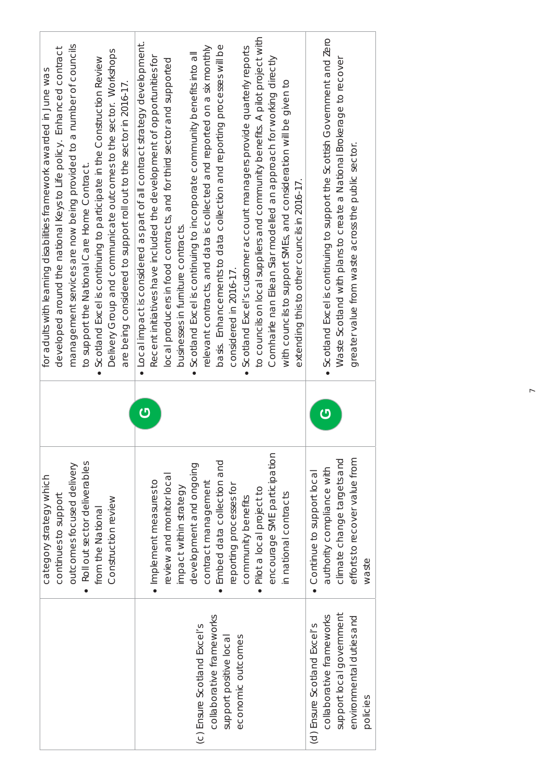|                             | category strategy which       | for adults with learning disabilities framework awarded in June was                          |                                                                             |
|-----------------------------|-------------------------------|----------------------------------------------------------------------------------------------|-----------------------------------------------------------------------------|
|                             | continues to support          | developed around the national Keys to Life policy. Enhanced contract                         |                                                                             |
|                             | outcomes focused delivery     |                                                                                              | management services are now being provided to a number of councils          |
|                             | Roll out sector deliverables  | to support the National Care Home Contract.                                                  |                                                                             |
|                             | from the National             | Scotland Excel is continuing to participate in the Construction Review                       |                                                                             |
|                             | Construction review           | Delivery Group and communicate outcomes to the sector. Workshops                             |                                                                             |
|                             |                               | are being considered to support roll out to the sector in 2016-17.                           |                                                                             |
|                             |                               | • Local impact is considered as part of all contract strategy development.<br>$\overline{c}$ |                                                                             |
|                             | · Implement measures to       | Recent initiatives have included the development of opportunities for                        |                                                                             |
|                             | review and monitor local      | local producers in food contracts, and for third sector and supported                        |                                                                             |
|                             | impact within strategy        | businesses in furniture contracts.                                                           |                                                                             |
| (c) Ensure Scotland Excel's | development and ongoing       | Scotland Excel is continuing to incorporate community benefits into all                      |                                                                             |
| collaborative frameworks    | contract management           | relevant contracts, and data is collected and reported on a six monthly                      |                                                                             |
| support positive local      | Embed data collection and     |                                                                                              | basis. Enhancements to data collection and reporting processes will be      |
| economic outcomes           | reporting processes for       | considered in 2016-17.                                                                       |                                                                             |
|                             | community benefits            | Scotland Excel's customer account managers provide quarterly reports                         |                                                                             |
|                             | Pilot a local project to      |                                                                                              | to councils on local suppliers and community benefits. A pilot project with |
|                             | encourage SME participation   | Comhairle nan Eilean Siar modelled an approach for working directly                          |                                                                             |
|                             | in national contracts         | with councils to support SMEs, and consideration will be given to                            |                                                                             |
|                             |                               | extending this to other councils in 2016-17.                                                 |                                                                             |
| (d) Ensure Scotland Excel's | Continue to support local     |                                                                                              |                                                                             |
| collaborative frameworks    | authority compliance with     | · Scotland Excel is continuing to support the Scottish Government and Zero<br><mark>ු</mark> |                                                                             |
| support local government    | climate change targets and    | Waste Scotland with plans to create a National Brokerage to recover                          |                                                                             |
| environmental duties and    | efforts to recover value from | greater value from waste across the public sector.                                           |                                                                             |
| policies                    | waste                         |                                                                                              |                                                                             |
|                             |                               |                                                                                              |                                                                             |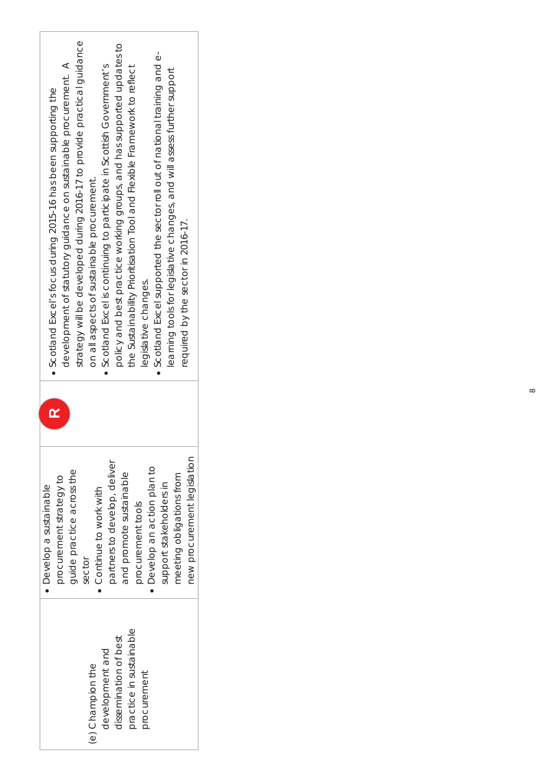| strategy will be developed during 2016-17 to provide practical guidance<br>policy and best practice working groups, and has supported updates to<br>Scotland Excel supported the sector roll out of national training and e-<br>development of statutory guidance on sustainable procurement. A<br>• Scotland Excel is continuing to participate in Scottish Government's<br>the Sustainability Prioritisation Tool and Flexible Framework to reflect<br>learning tools for legislative changes, and will assess further support<br>• Scotland Excel's focus during 2015-16 has been supporting the<br>on all aspects of sustainable procurement.<br>required by the sector in 2016-17.<br>legislative changes. |
|-----------------------------------------------------------------------------------------------------------------------------------------------------------------------------------------------------------------------------------------------------------------------------------------------------------------------------------------------------------------------------------------------------------------------------------------------------------------------------------------------------------------------------------------------------------------------------------------------------------------------------------------------------------------------------------------------------------------|
| new procurement legislation<br>partners to develop, deliver<br>Develop an action plan to<br>guide practice across the<br>and promote sustainable<br>meeting obligations from<br>procurement strategy to<br>support stakeholders in<br>· Develop a sustainable<br>Continue to work with<br>procurement tools<br>sector                                                                                                                                                                                                                                                                                                                                                                                           |
| practice in sustainable<br>dissemination of best<br>development and<br>(e) Champion the<br>procurement                                                                                                                                                                                                                                                                                                                                                                                                                                                                                                                                                                                                          |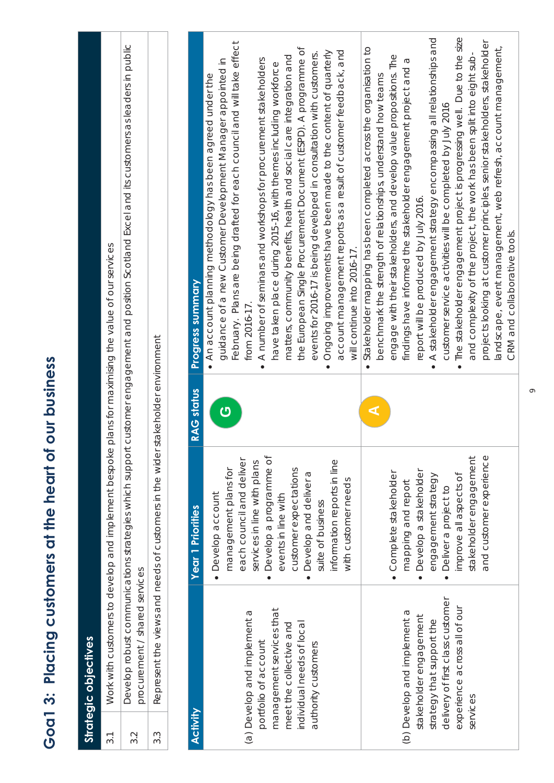|                 | Strategic objectives                                                                                                                                                                                                                                                                                                     |                                                                                                                                                                                                                                                                                                                                                                                                                                                                                                          |                         |                                                                                                                                                                                                                                                                                                                                                                                                                                                                                                                                                                                                                                                                                                                                                                                                                                                                                                                                                                                                                                                                                                                                                                                                                                                                                                                                                                                                                                                                                                                                                                                          |  |
|-----------------|--------------------------------------------------------------------------------------------------------------------------------------------------------------------------------------------------------------------------------------------------------------------------------------------------------------------------|----------------------------------------------------------------------------------------------------------------------------------------------------------------------------------------------------------------------------------------------------------------------------------------------------------------------------------------------------------------------------------------------------------------------------------------------------------------------------------------------------------|-------------------------|------------------------------------------------------------------------------------------------------------------------------------------------------------------------------------------------------------------------------------------------------------------------------------------------------------------------------------------------------------------------------------------------------------------------------------------------------------------------------------------------------------------------------------------------------------------------------------------------------------------------------------------------------------------------------------------------------------------------------------------------------------------------------------------------------------------------------------------------------------------------------------------------------------------------------------------------------------------------------------------------------------------------------------------------------------------------------------------------------------------------------------------------------------------------------------------------------------------------------------------------------------------------------------------------------------------------------------------------------------------------------------------------------------------------------------------------------------------------------------------------------------------------------------------------------------------------------------------|--|
| 3.1             |                                                                                                                                                                                                                                                                                                                          | Work with customers to develop and implement bespoke                                                                                                                                                                                                                                                                                                                                                                                                                                                     |                         | plans for maximising the value of our services                                                                                                                                                                                                                                                                                                                                                                                                                                                                                                                                                                                                                                                                                                                                                                                                                                                                                                                                                                                                                                                                                                                                                                                                                                                                                                                                                                                                                                                                                                                                           |  |
| 3.2             | procurement / shared services                                                                                                                                                                                                                                                                                            | Develop robust communications strategies which support                                                                                                                                                                                                                                                                                                                                                                                                                                                   |                         | customer engagement and position Scotland Excel and its customers as leaders in public                                                                                                                                                                                                                                                                                                                                                                                                                                                                                                                                                                                                                                                                                                                                                                                                                                                                                                                                                                                                                                                                                                                                                                                                                                                                                                                                                                                                                                                                                                   |  |
| 3.3             |                                                                                                                                                                                                                                                                                                                          | Represent the views and needs of customers in the wider                                                                                                                                                                                                                                                                                                                                                                                                                                                  | stakeholder environment |                                                                                                                                                                                                                                                                                                                                                                                                                                                                                                                                                                                                                                                                                                                                                                                                                                                                                                                                                                                                                                                                                                                                                                                                                                                                                                                                                                                                                                                                                                                                                                                          |  |
|                 |                                                                                                                                                                                                                                                                                                                          |                                                                                                                                                                                                                                                                                                                                                                                                                                                                                                          |                         |                                                                                                                                                                                                                                                                                                                                                                                                                                                                                                                                                                                                                                                                                                                                                                                                                                                                                                                                                                                                                                                                                                                                                                                                                                                                                                                                                                                                                                                                                                                                                                                          |  |
| <b>Activity</b> |                                                                                                                                                                                                                                                                                                                          | <b>Year 1 Priorities</b>                                                                                                                                                                                                                                                                                                                                                                                                                                                                                 | <b>RAG status</b>       | Progress summary                                                                                                                                                                                                                                                                                                                                                                                                                                                                                                                                                                                                                                                                                                                                                                                                                                                                                                                                                                                                                                                                                                                                                                                                                                                                                                                                                                                                                                                                                                                                                                         |  |
| services        | delivery of first class customer<br>experience across all of our<br>management services that<br>(a) Develop and implement a<br>(b) Develop and implement a<br>stakeholder engagement<br>strategy that support the<br>individual needs of local<br>meet the collective and<br>portfolio of account<br>authority customers | and customer experience<br>• Develop a programme of<br>stakeholder engagement<br>each council and deliver<br>information reports in line<br>services in line with plans<br>management plans for<br>customer expectations<br>Develop a stakeholder<br>Develop and deliver a<br>· Complete stakeholder<br>improve all aspects of<br>engagement strategy<br>with customer needs<br>mapping and report<br>Deliver a project to<br>· Develop account<br>events in line with<br>suite of business<br>$\bullet$ | ⋖<br>ပ                  | The stakeholder engagement project is progressing well. Due to the size<br>A stakeholder engagement strategy encompassing all relationships and<br>projects looking at customer principles, senior stakeholders, stakeholder<br>February. Plans are being drafted for each council and will take effect<br>landscape, event management, web refresh, account management,<br>the European Single Procurement Document (ESPD). A programme of<br>Stakeholder mapping has been completed across the organisation to<br>account management reports as a result of customer feedback, and<br>Ongoing improvements have been made to the content of quarterly<br>events for 2016-17 is being developed in consultation with customers.<br>and complexity of the project, the work has been split into eight sub-<br>matters, community benefits, health and social care integration and<br>engage with their stakeholders, and develop value propositions. The<br>A number of seminars and workshops for procurement stakeholders<br>guidance of a new Customer Development Manager appointed in<br>findings have informed the stakeholder engagement project and a<br>have taken place during 2015-16, with themes including workforce<br>• An account planning methodology has been agreed under the<br>benchmark the strength of relationships, understand how teams<br>customer service activities will be completed by July 2016<br>report will be produced by July 2016.<br>will continue into 2016-17.<br>from 2016-17<br>$\bullet$<br>$\bullet$<br>$\bullet$<br>$\bullet$<br>$\bullet$ |  |
|                 |                                                                                                                                                                                                                                                                                                                          |                                                                                                                                                                                                                                                                                                                                                                                                                                                                                                          |                         | CRM and collaborative tools.                                                                                                                                                                                                                                                                                                                                                                                                                                                                                                                                                                                                                                                                                                                                                                                                                                                                                                                                                                                                                                                                                                                                                                                                                                                                                                                                                                                                                                                                                                                                                             |  |

## Goa1 3: Placing customers at the heart of our business **Goa1 3: Placing customers at the heart of our business**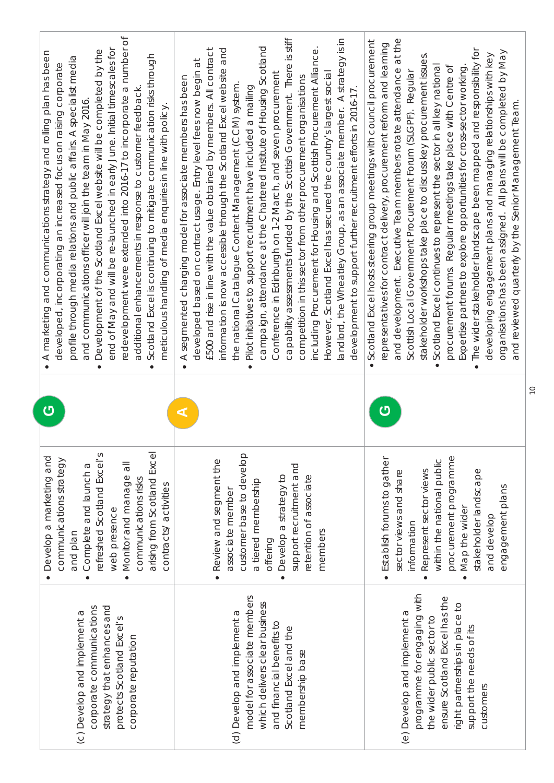| redevelopment were extended into 2016-17 to incorporate a number of<br>end of May and will be re-launched in early June. Initial timescales for<br>Development of the Scotland Excel website will be completed by the<br>A marketing and communications strategy and rolling plan has been<br>Scotland Excel is continuing to mitigate communication risks through<br>profile through media relations and public affairs. A specialist media<br>developed, incorporating an increased focus on raising corporate<br>additional enhancements in response to customer feedback<br>and communications officer will join the team in May 2016<br>meticulous handling of media enquiries in line with policy<br>$\bullet$<br>$\bullet$<br>$\bullet$ | capability assessments funded by the Scottish Government. There is stiff<br>andlord, the Wheatley Group, as an associate member. A strategy is in<br>campaign, attendance at the Chartered Institute of Housing Scotland<br>including Procurement for Housing and Scottish Procurement Alliance.<br>£500 and rise in line with the value obtained by members. All contract<br>and<br>developed based on contract usage. Entry level fees now begin at<br>information is now accessible through the Scotland Excel website<br>However, Scotland Excel has secured the country's largest social<br>Conference in Edinburgh on 1-2 March, and seven procurement<br>A segmented charging model for associate members has been<br>competition in this sector from other procurement organisations<br>the national Catalogue Content Management (CCM) system.<br>Pilot initiatives to support recruitment have included a mailing<br>development to support further recruitment efforts in 2016-17.<br>$\bullet$<br>$\bullet$ | at the<br>Scotland Excel hosts steering group meetings with council procurement<br>representatives for contract delivery, procurement reform and learning<br>The wider stakeholder landscape been mapped and responsibility for<br>organisations has been assigned. All plans will be completed by May<br>developing engagement plans and managing relationships with key<br>stakeholder workshops take place to discuss key procurement issues.<br>Scotland Excel continues to represent the sector in all key national<br>procurement forums. Regular meetings take place with Centre of<br>Expertise partners to explore opportunities for cross-sector working.<br>and development. Executive Team members rotate attendance<br>Scottish Local Government Procurement Forum (SLGPF). Regular<br>and reviewed quarterly by the Senior Management Team<br>$\bullet$<br>$\bullet$ |
|------------------------------------------------------------------------------------------------------------------------------------------------------------------------------------------------------------------------------------------------------------------------------------------------------------------------------------------------------------------------------------------------------------------------------------------------------------------------------------------------------------------------------------------------------------------------------------------------------------------------------------------------------------------------------------------------------------------------------------------------|-------------------------------------------------------------------------------------------------------------------------------------------------------------------------------------------------------------------------------------------------------------------------------------------------------------------------------------------------------------------------------------------------------------------------------------------------------------------------------------------------------------------------------------------------------------------------------------------------------------------------------------------------------------------------------------------------------------------------------------------------------------------------------------------------------------------------------------------------------------------------------------------------------------------------------------------------------------------------------------------------------------------------|------------------------------------------------------------------------------------------------------------------------------------------------------------------------------------------------------------------------------------------------------------------------------------------------------------------------------------------------------------------------------------------------------------------------------------------------------------------------------------------------------------------------------------------------------------------------------------------------------------------------------------------------------------------------------------------------------------------------------------------------------------------------------------------------------------------------------------------------------------------------------------|
| $\mathbf C$                                                                                                                                                                                                                                                                                                                                                                                                                                                                                                                                                                                                                                                                                                                                    | ⋖                                                                                                                                                                                                                                                                                                                                                                                                                                                                                                                                                                                                                                                                                                                                                                                                                                                                                                                                                                                                                       | ෆ                                                                                                                                                                                                                                                                                                                                                                                                                                                                                                                                                                                                                                                                                                                                                                                                                                                                                  |
| arising from Scotland Excel<br>refreshed Scotland Excel's<br>Develop a marketing and<br>communications strategy<br>Monitor and manage all<br>Complete and launch a<br>communications risks<br>contracts/activities<br>web presence<br>and plan<br>$\bullet$<br>$\bullet$                                                                                                                                                                                                                                                                                                                                                                                                                                                                       | customer base to develop<br>Review and segment the<br>support recruitment and<br>Develop a strategy to<br>retention of associate<br>a tiered membership<br>associate member<br>members<br>offering<br>$\bullet$                                                                                                                                                                                                                                                                                                                                                                                                                                                                                                                                                                                                                                                                                                                                                                                                         | procurement programme<br>· Establish forums to gather<br>within the national public<br>stakeholder landscape<br>Represent sector views<br>sector views and share<br>engagement plans<br>Map the wider<br>and develop<br>information<br>$\bullet$<br>$\bullet$                                                                                                                                                                                                                                                                                                                                                                                                                                                                                                                                                                                                                      |
| strategy that enhances and<br>corporate communications<br>(c) Develop and implement a<br>protects Scotland Excel's<br>corporate reputation                                                                                                                                                                                                                                                                                                                                                                                                                                                                                                                                                                                                     | model for associate members<br>which delivers clear business<br>(d) Develop and implement a<br>and financial benefits to<br>Scotland Excel and the<br>membership base                                                                                                                                                                                                                                                                                                                                                                                                                                                                                                                                                                                                                                                                                                                                                                                                                                                   | programme for engaging with<br>ensure Scotland Excel has the<br>right partnerships in place to<br>(e) Develop and implement a<br>the wider public sector to<br>support the needs of its<br>customers                                                                                                                                                                                                                                                                                                                                                                                                                                                                                                                                                                                                                                                                               |

10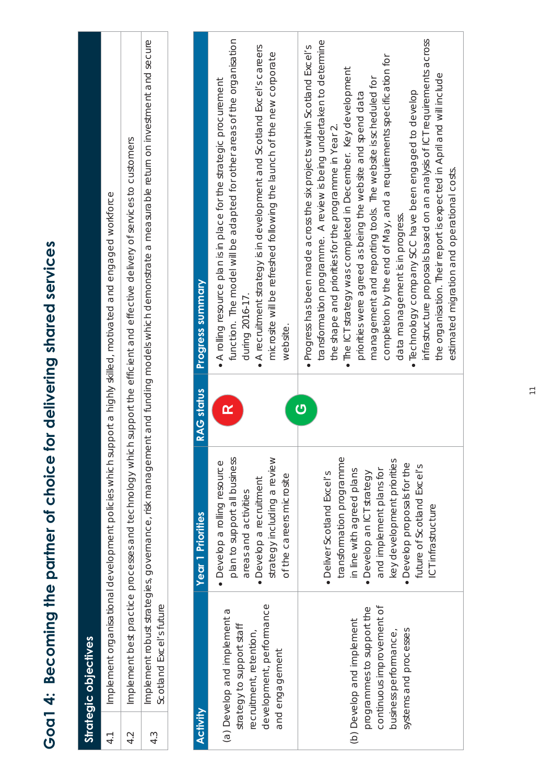| moding the partner of choice to be the partner of the partner of the partner of choices |
|-----------------------------------------------------------------------------------------|
|                                                                                         |
|                                                                                         |
| J<br>C<br>Č<br>J                                                                        |
| ā<br>Ĵ                                                                                  |
|                                                                                         |
| ä                                                                                       |
|                                                                                         |
|                                                                                         |
| (                                                                                       |

**Strategic objectives** 

Strategic objectives

| 4.1              |                                                                                                                                       |                                                                                                                                                                                                                                                              |                   | Implement organisational development policies which support a highly skilled, motivated and engaged workforce                                                                                                                                                                                                                                                                                                                                                                                                                                                                                                                                                                                                                                                               |
|------------------|---------------------------------------------------------------------------------------------------------------------------------------|--------------------------------------------------------------------------------------------------------------------------------------------------------------------------------------------------------------------------------------------------------------|-------------------|-----------------------------------------------------------------------------------------------------------------------------------------------------------------------------------------------------------------------------------------------------------------------------------------------------------------------------------------------------------------------------------------------------------------------------------------------------------------------------------------------------------------------------------------------------------------------------------------------------------------------------------------------------------------------------------------------------------------------------------------------------------------------------|
| 4.2              |                                                                                                                                       |                                                                                                                                                                                                                                                              |                   | Implement best practice processes and technology which support the efficient and effective delivery of services to customers                                                                                                                                                                                                                                                                                                                                                                                                                                                                                                                                                                                                                                                |
| $4.\overline{3}$ | Scotland Excel's future                                                                                                               |                                                                                                                                                                                                                                                              |                   | Implement robust strategies, governance, risk management and funding models which demonstrate a measurable return on investment and secure                                                                                                                                                                                                                                                                                                                                                                                                                                                                                                                                                                                                                                  |
|                  |                                                                                                                                       |                                                                                                                                                                                                                                                              |                   |                                                                                                                                                                                                                                                                                                                                                                                                                                                                                                                                                                                                                                                                                                                                                                             |
| <b>Activity</b>  |                                                                                                                                       | <b>Year 1 Priorities</b>                                                                                                                                                                                                                                     | <b>RAG status</b> | <b>Progress summary</b>                                                                                                                                                                                                                                                                                                                                                                                                                                                                                                                                                                                                                                                                                                                                                     |
|                  | development, performance<br>(a) Develop and implement a<br>strategy to support staff<br>recruitment, retention,<br>and engagement     | strategy including a review<br>plan to support all business<br>· Develop a rolling resource<br>of the careers microsite<br>· Develop a recruitment<br>areas and activities                                                                                   | $\mathbf{r}$      | function. The model will be adapted for other areas of the organisation<br>• A recruitment strategy is in development and Scotland Excel's careers<br>microsite will be refreshed following the launch of the new corporate<br>A rolling resource plan is in place for the strategic procurement<br>during 2016-17.<br>website                                                                                                                                                                                                                                                                                                                                                                                                                                              |
|                  | continuous improvement of<br>programmes to support the<br>(b) Develop and implement<br>systems and processes<br>business performance, | transformation programme<br>key development priorities<br>• Develop proposals for the<br>future of Scotland Excel's<br>and implement plans for<br>in line with agreed plans<br>· Develop an ICT strategy<br>• Deliver Scotland Excel's<br>ICT infrastructure | $\overline{c}$    | infrastructure proposals based on an analysis of ICT requirements across<br>transformation programme. A review is being undertaken to determine<br>· Progress has been made across the six projects within Scotland Excel's<br>completion by the end of May, and a requirements specification for<br>. The ICT strategy was completed in December. Key development<br>the organisation. Their report is expected in April and will include<br>management and reporting tools. The website is scheduled for<br>· Technology company SCC have been engaged to develop<br>priorities were agreed as being the website and spend data<br>the shape and priorities for the programme in Year 2.<br>estimated migration and operational costs.<br>data management is in progress. |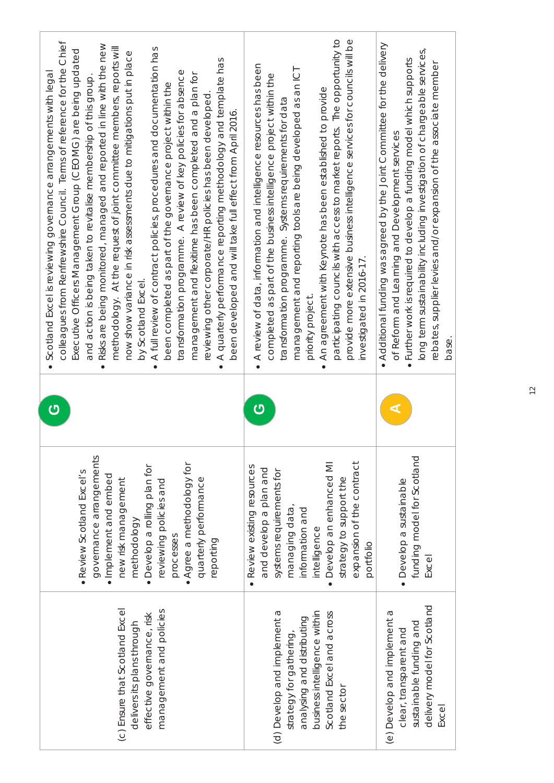| colleagues from Renfrewshire Council. Terms of reference for the Chief<br>• Risks are being monitored, managed and reported in line with the new<br>methodology. At the request of joint committee members, reports will<br>A full review of contract policies, procedures and documentation has<br>Executive Officers Management Group (CEOMG) are being updated<br>now show variance in risk assessments due to mitigations put in place<br>A quarterly performance reporting methodology and template has<br>transformation programme. A review of key policies for absence<br>Scotland Excel is reviewing governance arrangements with legal<br>management and flexitime has been completed and a plan for<br>and action is being taken to revitalise membership of this group.<br>been completed as part of the governance project within the<br>reviewing other corporate/HR policies has been developed<br>been developed and will take full effect from April 2016.<br>by Scotland Excel<br>$\bullet$<br>$\bullet$ | participating councils with access to market reports. The opportunity to<br>provide more extensive business intelligence services for councils will be<br>• A review of data, information and intelligence resources has been<br>management and reporting tools are being developed as an ICT<br>completed as part of the business intelligence project within the<br>An agreement with Keynote has been established to provide<br>transformation programme. Systems requirements for data<br>investigated in 2016-17.<br>priority project<br>$\bullet$ | Additional funding was agreed by the Joint Committee for the delivery<br>long term sustainability including investigation of chargeable services,<br>Further work is required to develop a funding model which supports<br>rebates, supplier levies and/or expansion of the associate member<br>of Reform and Learning and Development services<br>base. |
|----------------------------------------------------------------------------------------------------------------------------------------------------------------------------------------------------------------------------------------------------------------------------------------------------------------------------------------------------------------------------------------------------------------------------------------------------------------------------------------------------------------------------------------------------------------------------------------------------------------------------------------------------------------------------------------------------------------------------------------------------------------------------------------------------------------------------------------------------------------------------------------------------------------------------------------------------------------------------------------------------------------------------|---------------------------------------------------------------------------------------------------------------------------------------------------------------------------------------------------------------------------------------------------------------------------------------------------------------------------------------------------------------------------------------------------------------------------------------------------------------------------------------------------------------------------------------------------------|----------------------------------------------------------------------------------------------------------------------------------------------------------------------------------------------------------------------------------------------------------------------------------------------------------------------------------------------------------|
| $\overline{O}$                                                                                                                                                                                                                                                                                                                                                                                                                                                                                                                                                                                                                                                                                                                                                                                                                                                                                                                                                                                                             | <mark>ු</mark>                                                                                                                                                                                                                                                                                                                                                                                                                                                                                                                                          | ⋖                                                                                                                                                                                                                                                                                                                                                        |
| governance arrangements<br>• Agree a methodology for<br>· Develop a rolling plan for<br>· Review Scotland Excel's<br>· Implement and embed<br>quarterly performance<br>new risk management<br>reviewing policies and<br>methodology<br>processes<br>reporting                                                                                                                                                                                                                                                                                                                                                                                                                                                                                                                                                                                                                                                                                                                                                              | Develop an enhanced MI<br>expansion of the contract<br>· Review existing resources<br>and develop a plan and<br>systems requirements for<br>strategy to support the<br>managing data,<br>information and<br>intelligence<br>portfolio                                                                                                                                                                                                                                                                                                                   | funding model for Scotland<br>· Develop a sustainable<br>Excel                                                                                                                                                                                                                                                                                           |
| (c) Ensure that Scotland Excel<br>management and policies<br>effective governance, risk<br>delivers its plans through                                                                                                                                                                                                                                                                                                                                                                                                                                                                                                                                                                                                                                                                                                                                                                                                                                                                                                      | (d) Develop and implement a<br>business intelligence within<br>Scotland Excel and across<br>analysing and distributing<br>strategy for gathering,<br>the sector                                                                                                                                                                                                                                                                                                                                                                                         | delivery model for Scotland<br>(e) Develop and implement a<br>sustainable funding and<br>clear, transparent and<br>Excel                                                                                                                                                                                                                                 |